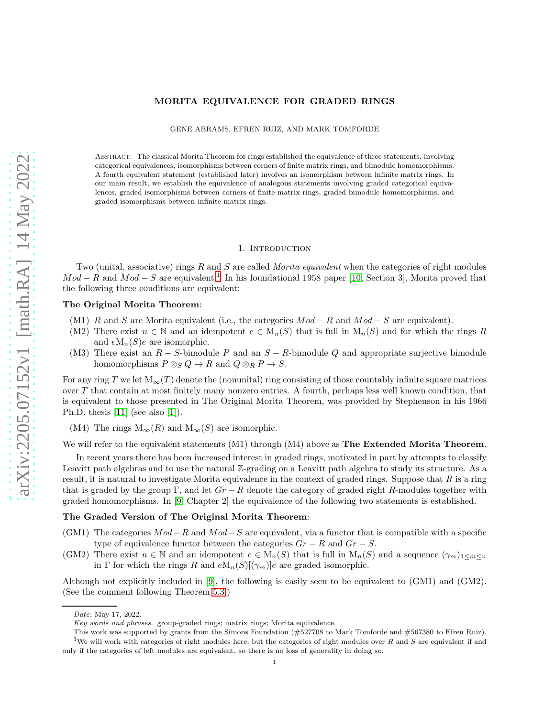# MORITA EQUIVALENCE FOR GRADED RINGS

GENE ABRAMS, EFREN RUIZ, AND MARK TOMFORDE

Abstract. The classical Morita Theorem for rings established the equivalence of three statements, involving categorical equivalences, isomorphisms between corners of finite matrix rings, and bimodule homomorphisms. A fourth equivalent statement (established later) involves an isomorphism between infinite matrix rings. In our main result, we establish the equivalence of analogous statements involving graded categorical equivalences, graded isomorphisms between corners of finite matrix rings, graded bimodule homomorphisms, and graded isomorphisms between infinite matrix rings.

### 1. INTRODUCTION

Two (unital, associative) rings R and S are called *Morita equivalent* when the categories of right modules  $Mod - R$  and  $Mod - S$  are equivalent.<sup>[1](#page-0-0)</sup> In his foundational 1958 paper [\[10,](#page-22-0) Section 3], Morita proved that the following three conditions are equivalent:

# The Original Morita Theorem:

- (M1) R and S are Morita equivalent (i.e., the categories  $Mod R$  and  $Mod S$  are equivalent).
- (M2) There exist  $n \in \mathbb{N}$  and an idempotent  $e \in M_n(S)$  that is full in  $M_n(S)$  and for which the rings R and  $eM_n(S)e$  are isomorphic.
- (M3) There exist an  $R S$ -bimodule P and an  $S R$ -bimodule Q and appropriate surjective bimodule homomorphisms  $P \otimes_S Q \to R$  and  $Q \otimes_R P \to S$ .

For any ring T we let  $M_\infty(T)$  denote the (nonunital) ring consisting of those countably infinite square matrices over T that contain at most finitely many nonzero entries. A fourth, perhaps less well known condition, that is equivalent to those presented in The Original Morita Theorem, was provided by Stephenson in his 1966 Ph.D. thesis [\[11\]](#page-22-1) (see also [\[1\]](#page-21-0)).

(M4) The rings  $M_{\infty}(R)$  and  $M_{\infty}(S)$  are isomorphic.

### We will refer to the equivalent statements (M1) through (M4) above as **The Extended Morita Theorem**.

In recent years there has been increased interest in graded rings, motivated in part by attempts to classify Leavitt path algebras and to use the natural Z-grading on a Leavitt path algebra to study its structure. As a result, it is natural to investigate Morita equivalence in the context of graded rings. Suppose that  $R$  is a ring that is graded by the group Γ, and let  $Gr - R$  denote the category of graded right R-modules together with graded homomorphisms. In [\[9,](#page-21-1) Chapter 2] the equivalence of the following two statements is established.

### The Graded Version of The Original Morita Theorem:

- (GM1) The categories  $Mod-R$  and  $Mod-S$  are equivalent, via a functor that is compatible with a specific type of equivalence functor between the categories  $Gr - R$  and  $Gr - S$ .
- (GM2) There exist  $n \in \mathbb{N}$  and an idempotent  $e \in M_n(S)$  that is full in  $M_n(S)$  and a sequence  $(\gamma_m)_{1 \leq m \leq n}$ in Γ for which the rings R and  $eM_n(S)[(\gamma_m)]e$  are graded isomorphic.

Although not explicitly included in [\[9\]](#page-21-1), the following is easily seen to be equivalent to (GM1) and (GM2). (See the comment following Theorem [5.3.](#page-19-0))

*Date*: May 17, 2022.

*Key words and phrases.* group-graded rings; matrix rings; Morita equivalence.

<span id="page-0-0"></span>This work was supported by grants from the Simons Foundation (#527708 to Mark Tomforde and #567380 to Efren Ruiz). <sup>1</sup>We will work with categories of right modules here; but the categories of right modules over R and S are equivalent if and only if the categories of left modules are equivalent, so there is no loss of generality in doing so.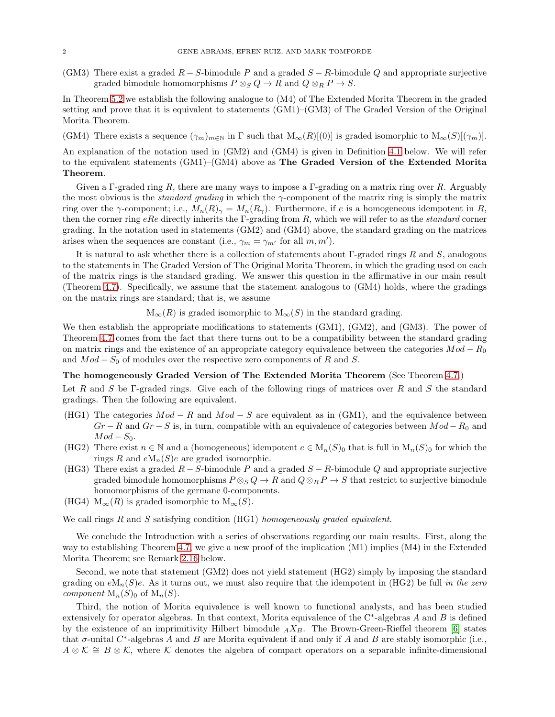(GM3) There exist a graded  $R-S$ -bimodule P and a graded  $S-R$ -bimodule Q and appropriate surjective graded bimodule homomorphisms  $P \otimes_S Q \to R$  and  $Q \otimes_R P \to S$ .

In Theorem [5.2](#page-19-1) we establish the following analogue to (M4) of The Extended Morita Theorem in the graded setting and prove that it is equivalent to statements (GM1)–(GM3) of The Graded Version of the Original Morita Theorem.

(GM4) There exists a sequence  $(\gamma_m)_{m\in\mathbb{N}}$  in  $\Gamma$  such that  $M_\infty(R)[(0)]$  is graded isomorphic to  $M_\infty(S)[(\gamma_m)]$ .

An explanation of the notation used in (GM2) and (GM4) is given in Definition [4.1](#page-17-0) below. We will refer to the equivalent statements (GM1)–(GM4) above as The Graded Version of the Extended Morita Theorem.

Given a Γ-graded ring R, there are many ways to impose a Γ-grading on a matrix ring over R. Arguably the most obvious is the *standard grading* in which the γ-component of the matrix ring is simply the matrix ring over the γ-component; i.e.,  $M_n(R)_{\gamma} = M_n(R_{\gamma})$ . Furthermore, if e is a homogeneous idempotent in R, then the corner ring eRe directly inherits the Γ-grading from R, which we will refer to as the *standard* corner grading. In the notation used in statements (GM2) and (GM4) above, the standard grading on the matrices arises when the sequences are constant (i.e.,  $\gamma_m = \gamma_{m'}$  for all  $m, m'$ ).

It is natural to ask whether there is a collection of statements about  $\Gamma$ -graded rings R and S, analogous to the statements in The Graded Version of The Original Morita Theorem, in which the grading used on each of the matrix rings is the standard grading. We answer this question in the affirmative in our main result (Theorem [4.7\)](#page-18-0). Specifically, we assume that the statement analogous to (GM4) holds, where the gradings on the matrix rings are standard; that is, we assume

 $M_{\infty}(R)$  is graded isomorphic to  $M_{\infty}(S)$  in the standard grading.

We then establish the appropriate modifications to statements (GM1), (GM2), and (GM3). The power of Theorem [4.7](#page-18-0) comes from the fact that there turns out to be a compatibility between the standard grading on matrix rings and the existence of an appropriate category equivalence between the categories  $Mod - R_0$ and  $Mod - S_0$  of modules over the respective zero components of R and S.

# The homogeneously Graded Version of The Extended Morita Theorem (See Theorem [4.7.](#page-18-0))

Let R and S be Γ-graded rings. Give each of the following rings of matrices over R and S the standard gradings. Then the following are equivalent.

- (HG1) The categories  $Mod R$  and  $Mod S$  are equivalent as in (GM1), and the equivalence between  $Gr - R$  and  $Gr - S$  is, in turn, compatible with an equivalence of categories between  $Mod - R_0$  and  $Mod - S_0$ .
- (HG2) There exist  $n \in \mathbb{N}$  and a (homogeneous) idempotent  $e \in M_n(S)_0$  that is full in  $M_n(S)_0$  for which the rings R and  $eM_n(S)e$  are graded isomorphic.
- (HG3) There exist a graded  $R-S$ -bimodule P and a graded  $S-R$ -bimodule Q and appropriate surjective graded bimodule homomorphisms  $P \otimes_S Q \to R$  and  $Q \otimes_R P \to S$  that restrict to surjective bimodule homomorphisms of the germane 0-components.
- (HG4)  $M_{\infty}(R)$  is graded isomorphic to  $M_{\infty}(S)$ .

We call rings R and S satisfying condition (HG1) *homogeneously graded equivalent*.

We conclude the Introduction with a series of observations regarding our main results. First, along the way to establishing Theorem [4.7,](#page-18-0) we give a new proof of the implication (M1) implies (M4) in the Extended Morita Theorem; see Remark [2.16](#page-9-0) below.

Second, we note that statement (GM2) does not yield statement (HG2) simply by imposing the standard grading on  $eM_n(S)e$ . As it turns out, we must also require that the idempotent in (HG2) be full *in the zero component*  $M_n(S)_0$  of  $M_n(S)$ .

Third, the notion of Morita equivalence is well known to functional analysts, and has been studied extensively for operator algebras. In that context, Morita equivalence of the  $C^*$ -algebras A and B is defined by the existence of an imprimitivity Hilbert bimodule  $_A X_B$ . The Brown-Green-Rieffel theorem [\[6\]](#page-21-2) states that  $\sigma$ -unital  $C^*$ -algebras A and B are Morita equivalent if and only if A and B are stably isomorphic (i.e.,  $A \otimes \mathcal{K} \cong B \otimes \mathcal{K}$ , where K denotes the algebra of compact operators on a separable infinite-dimensional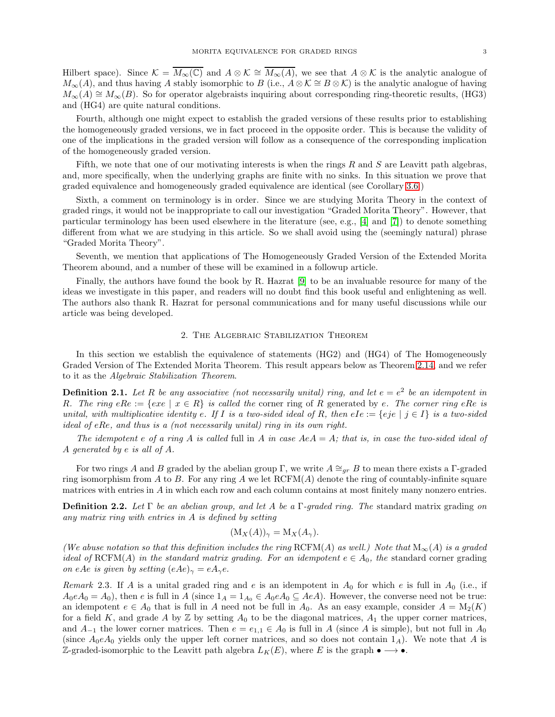Hilbert space). Since  $\mathcal{K} = \overline{M_{\infty}(\mathbb{C})}$  and  $A \otimes \mathcal{K} \cong \overline{M_{\infty}(A)}$ , we see that  $A \otimes \mathcal{K}$  is the analytic analogue of  $M_{\infty}(A)$ , and thus having A stably isomorphic to B (i.e.,  $A \otimes \mathcal{K} \cong B \otimes \mathcal{K}$ ) is the analytic analogue of having  $M_{\infty}(A) \cong M_{\infty}(B)$ . So for operator algebraists inquiring about corresponding ring-theoretic results, (HG3) and (HG4) are quite natural conditions.

Fourth, although one might expect to establish the graded versions of these results prior to establishing the homogeneously graded versions, we in fact proceed in the opposite order. This is because the validity of one of the implications in the graded version will follow as a consequence of the corresponding implication of the homogeneously graded version.

Fifth, we note that one of our motivating interests is when the rings  $R$  and  $S$  are Leavitt path algebras, and, more specifically, when the underlying graphs are finite with no sinks. In this situation we prove that graded equivalence and homogeneously graded equivalence are identical (see Corollary [3.6.](#page-11-0))

Sixth, a comment on terminology is in order. Since we are studying Morita Theory in the context of graded rings, it would not be inappropriate to call our investigation "Graded Morita Theory". However, that particular terminology has been used elsewhere in the literature (see, e.g., [\[4\]](#page-21-3) and [\[7\]](#page-21-4)) to denote something different from what we are studying in this article. So we shall avoid using the (seemingly natural) phrase "Graded Morita Theory".

Seventh, we mention that applications of The Homogeneously Graded Version of the Extended Morita Theorem abound, and a number of these will be examined in a followup article.

Finally, the authors have found the book by R. Hazrat [\[9\]](#page-21-1) to be an invaluable resource for many of the ideas we investigate in this paper, and readers will no doubt find this book useful and enlightening as well. The authors also thank R. Hazrat for personal communications and for many useful discussions while our article was being developed.

### 2. The Algebraic Stabilization Theorem

In this section we establish the equivalence of statements (HG2) and (HG4) of The Homogeneously Graded Version of The Extended Morita Theorem. This result appears below as Theorem [2.14,](#page-8-0) and we refer to it as the *Algebraic Stabilization Theorem*.

**Definition 2.1.** Let R be any associative (not necessarily unital) ring, and let  $e = e^2$  be an idempotent in R. The ring  $eRe := \{exe \mid x \in R\}$  is called the corner ring of R generated by e. The corner ring  $eRe$  is *unital, with multiplicative identity* e. If I is a two-sided ideal of R, then eIe := {eje | j ∈ I} is a two-sided *ideal of* eRe*, and thus is a (not necessarily unital) ring in its own right.*

*The idempotent* e *of a ring* A *is called* full in A *in case* AeA = A*; that is, in case the two-sided ideal of* A *generated by* e *is all of* A*.*

For two rings A and B graded by the abelian group Γ, we write  $A \cong_{qr} B$  to mean there exists a Γ-graded ring isomorphism from A to B. For any ring A we let  $RCFM(A)$  denote the ring of countably-infinite square matrices with entries in A in which each row and each column contains at most finitely many nonzero entries.

Definition 2.2. *Let* Γ *be an abelian group, and let* A *be a* Γ*-graded ring. The* standard matrix grading *on any matrix ring with entries in* A *is defined by setting*

$$
(\mathcal{M}_X(A))_{\gamma} = \mathcal{M}_X(A_{\gamma}).
$$

*(We abuse notation so that this definition includes the ring* RCFM(A) *as well.)* Note that  $M_{\infty}(A)$  *is a graded ideal of* RCFM(A) *in the standard matrix grading. For an idempotent*  $e \in A_0$ , the standard corner grading *on* eAe *is given by setting*  $(eAe)_{\gamma} = eA_{\gamma}e$ .

*Remark* 2.3. If A is a unital graded ring and e is an idempotent in  $A_0$  for which e is full in  $A_0$  (i.e., if  $A_0eA_0 = A_0$ , then e is full in A (since  $1_A = 1_{A_0} \in A_0eA_0 \subseteq AeA$ ). However, the converse need not be true: an idempotent  $e \in A_0$  that is full in A need not be full in  $A_0$ . As an easy example, consider  $A = M_2(K)$ for a field K, and grade A by  $\mathbb Z$  by setting  $A_0$  to be the diagonal matrices,  $A_1$  the upper corner matrices, and  $A_{-1}$  the lower corner matrices. Then  $e = e_{1,1} \in A_0$  is full in A (since A is simple), but not full in  $A_0$ (since  $A_0eA_0$  yields only the upper left corner matrices, and so does not contain  $1_A$ ). We note that A is Z-graded-isomorphic to the Leavitt path algebra  $L_K(E)$ , where E is the graph  $\bullet \longrightarrow \bullet$ .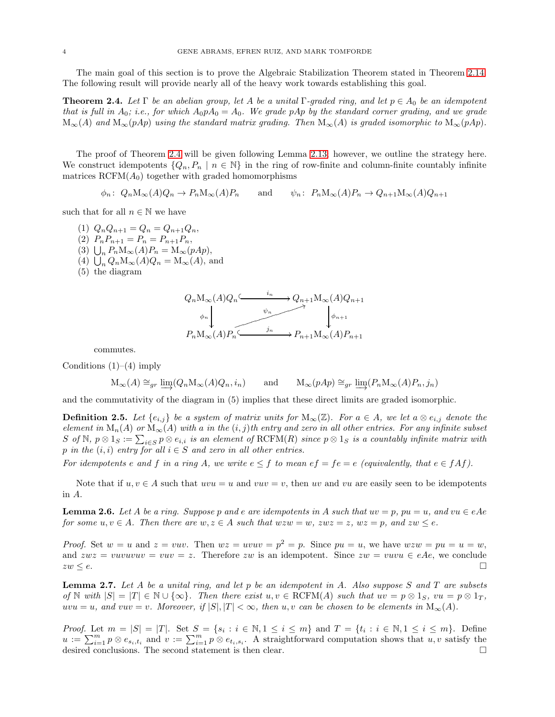The main goal of this section is to prove the Algebraic Stabilization Theorem stated in Theorem [2.14.](#page-8-0) The following result will provide nearly all of the heavy work towards establishing this goal.

<span id="page-3-0"></span>**Theorem 2.4.** *Let*  $\Gamma$  *be an abelian group, let*  $A$  *be a unital*  $\Gamma$ -graded ring, and let  $p \in A_0$  *be an idempotent that is full in*  $A_0$ ; *i.e.*, for which  $A_0 p A_0 = A_0$ . We grade pAp by the standard corner grading, and we grade  $M_{\infty}(A)$  and  $M_{\infty}(pAp)$  *using the standard matrix grading. Then*  $M_{\infty}(A)$  *is graded isomorphic to*  $M_{\infty}(pAp)$ *.* 

The proof of Theorem [2.4](#page-3-0) will be given following Lemma [2.13;](#page-7-0) however, we outline the strategy here. We construct idempotents  $\{Q_n, P_n \mid n \in \mathbb{N}\}\$  in the ring of row-finite and column-finite countably infinite matrices  $RCFM(A_0)$  together with graded homomorphisms

 $\phi_n: Q_n M_\infty(A) Q_n \to P_n M_\infty(A) P_n$  and  $\psi_n: P_n M_\infty(A) P_n \to Q_{n+1} M_\infty(A) Q_{n+1}$ 

such that for all  $n \in \mathbb{N}$  we have

(1)  $Q_n Q_{n+1} = Q_n = Q_{n+1} Q_n$ , (2)  $P_n P_{n+1} = P_n = P_{n+1} P_n$ , (3)  $\bigcup_n P_n M_\infty(A) P_n = M_\infty(pAp),$ (4)  $\bigcup_n Q_n M_\infty(A) Q_n = M_\infty(A)$ , and (5) the diagram



commutes.

Conditions  $(1)–(4)$  imply

$$
\mathcal{M}_{\infty}(A) \cong_{gr} \underline{\lim} (Q_n \mathcal{M}_{\infty}(A) Q_n, i_n) \quad \text{and} \quad \mathcal{M}_{\infty}(pAp) \cong_{gr} \underline{\lim} (P_n \mathcal{M}_{\infty}(A) P_n, j_n)
$$

and the commutativity of the diagram in (5) implies that these direct limits are graded isomorphic.

**Definition 2.5.** Let  $\{e_{i,j}\}$  be a system of matrix units for  $M_{\infty}(\mathbb{Z})$ . For  $a \in A$ , we let  $a \otimes e_{i,j}$  denote the *element in*  $M_n(A)$  *or*  $M_\infty(A)$  *with* a *in the*  $(i, j)$ *th entry and zero in all other entries. For any infinite subset*  $S$  of  $\mathbb{N}, p \otimes 1_S := \sum_{i \in S} p \otimes e_{i,i}$  *is an element of*  $\mathrm{RCFM}(R)$  *since*  $p \otimes 1_S$  *is a countably infinite matrix with* p in the  $(i, i)$  entry for all  $i \in S$  and zero in all other entries.

*For idempotents*  $e$  *and*  $f$  *in a ring*  $A$ *, we write*  $e \leq f$  *to mean*  $ef = fe = e$  *(equivalently, that*  $e \in f \{f\}$ *).* 

Note that if  $u, v \in A$  such that  $uvw = u$  and  $vuv = v$ , then uv and vu are easily seen to be idempotents in A.

<span id="page-3-1"></span>**Lemma 2.6.** Let A be a ring. Suppose p and e are idempotents in A such that  $uv = p$ ,  $pu = u$ , and  $vu \in eAe$ *for some*  $u, v \in A$ *. Then there are*  $w, z \in A$  *such that*  $wzw = w$ *,*  $zwz = z$ *,*  $wz = p$ *, and*  $zw \leq e$ *.* 

*Proof.* Set  $w = u$  and  $z = vuv$ . Then  $wz = uvuv = p^2 = p$ . Since  $pu = u$ , we have  $wzw = pu = u = w$ , and  $zwz = vuvuvuv = vuv = z$ . Therefore zw is an idempotent. Since  $zw = vuvu \in eAe$ , we conclude  $zw \leq e$ .

<span id="page-3-2"></span>Lemma 2.7. *Let* A *be a unital ring, and let* p *be an idempotent in* A*. Also suppose* S *and* T *are subsets of* N *with*  $|S| = |T| \in \mathbb{N} \cup {\infty}$ *. Then there exist*  $u, v \in \text{RCFM}(A)$  *such that*  $uv = p \otimes 1_S$ ,  $vu = p \otimes 1_T$ , uvu = u, and vuv = v. Moreover, if  $|S|, |T| < \infty$ , then u, v can be chosen to be elements in  $M_{\infty}(A)$ .

*Proof.* Let  $m = |S| = |T|$ . Set  $S = \{s_i : i \in \mathbb{N}, 1 \le i \le m\}$  and  $T = \{t_i : i \in \mathbb{N}, 1 \le i \le m\}$ . Define  $u := \sum_{i=1}^m p \otimes e_{s_i,t_i}$  and  $v := \sum_{i=1}^m p \otimes e_{t_i,s_i}$ . A straightforward computation shows that  $u, v$  satisfy the desired conclusions. The second statement is then clear.  $\square$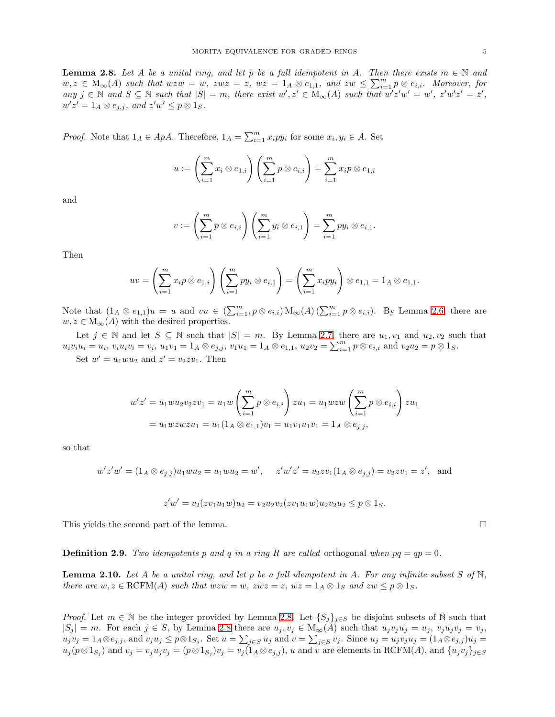<span id="page-4-0"></span>**Lemma 2.8.** Let A be a unital ring, and let p be a full idempotent in A. Then there exists  $m \in \mathbb{N}$  and  $w, z \in M_\infty(A)$  such that  $wzw = w$ ,  $zwz = z$ ,  $wz = 1_A \otimes e_{1,1}$ , and  $zw \leq \sum_{i=1}^m p \otimes e_{i,i}$ . Moreover, for  $any \ j \in \mathbb{N} \ and \ S \subseteq \mathbb{N} \ such \ that \ |S| = m, \ there \ exist \ w', z' \in M_\infty(A) \ such \ that \ w'z'w' = w', \ z'w'z' = z',$  $w'z' = 1_A \otimes e_{j,j}$ , and  $z'w' \leq p \otimes 1_S$ .

*Proof.* Note that  $1_A \in ApA$ . Therefore,  $1_A = \sum_{i=1}^{m} x_i py_i$  for some  $x_i, y_i \in A$ . Set

$$
u := \left(\sum_{i=1}^m x_i \otimes e_{1,i}\right)\left(\sum_{i=1}^m p \otimes e_{i,i}\right) = \sum_{i=1}^m x_i p \otimes e_{1,i}
$$

and

$$
v:=\left(\sum_{i=1}^m p\otimes e_{i,i}\right)\left(\sum_{i=1}^m y_i\otimes e_{i,1}\right)=\sum_{i=1}^m py_i\otimes e_{i,1}.
$$

Then

$$
uv = \left(\sum_{i=1}^m x_i p \otimes e_{1,i}\right) \left(\sum_{i=1}^m py_i \otimes e_{i,1}\right) = \left(\sum_{i=1}^m x_i py_i\right) \otimes e_{1,1} = 1_A \otimes e_{1,1}.
$$

Note that  $(1_A \otimes e_{1,1})u = u$  and  $vu \in (\sum_{i=1}^m p \otimes e_{i,i}) \mathcal{M}_{\infty}(A) (\sum_{i=1}^m p \otimes e_{i,i})$ . By Lemma [2.6,](#page-3-1) there are  $w, z \in M_{\infty}(A)$  with the desired properties.

Let  $j \in \mathbb{N}$  and let  $S \subseteq \mathbb{N}$  such that  $|S| = m$ . By Lemma [2.7,](#page-3-2) there are  $u_1, v_1$  and  $u_2, v_2$  such that  $u_i v_i u_i = u_i, v_i u_i v_i = v_i, u_1 v_1 = 1_A \otimes e_{j,j}, v_1 u_1 = 1_A \otimes e_{1,1}, u_2 v_2 = \sum_{i=1}^m p \otimes e_{i,i}$  and  $v_2 u_2 = p \otimes 1_S$ .

Set  $w' = u_1 w u_2$  and  $z' = v_2 z v_1$ . Then

$$
w'z' = u_1 w u_2 v_2 z v_1 = u_1 w \left(\sum_{i=1}^m p \otimes e_{i,i}\right) z u_1 = u_1 w z w \left(\sum_{i=1}^m p \otimes e_{i,i}\right) z u_1
$$
  
=  $u_1 w z w z u_1 = u_1 (1_A \otimes e_{1,1}) v_1 = u_1 v_1 u_1 v_1 = 1_A \otimes e_{j,j},$ 

so that

$$
w'z'w' = (1_A \otimes e_{j,j})u_1wu_2 = u_1wu_2 = w', \quad z'w'z' = v_2zv_1(1_A \otimes e_{j,j}) = v_2zv_1 = z', \text{ and}
$$

$$
z'w' = v_2(zv_1u_1w)u_2 = v_2u_2v_2(zv_1u_1w)u_2v_2u_2 \leq p \otimes 1_S.
$$

This yields the second part of the lemma.

**Definition 2.9.** *Two idempotents* p and q in a ring R are called orthogonal when  $pq = qp = 0$ .

<span id="page-4-1"></span>Lemma 2.10. *Let* A *be a unital ring, and let* p *be a full idempotent in* A*. For any infinite subset* S *of* N*, there are*  $w, z \in \text{RCFM}(A)$  *such that*  $wzw = w$ *,*  $zwz = z$ *,*  $wz = 1_A \otimes 1_S$  *and*  $zw \leq p \otimes 1_S$ *.* 

*Proof.* Let  $m \in \mathbb{N}$  be the integer provided by Lemma [2.8.](#page-4-0) Let  $\{S_i\}_{i\in S}$  be disjoint subsets of N such that  $|S_j| = m$ . For each  $j \in S$ , by Lemma [2.8](#page-4-0) there are  $u_j, v_j \in M_\infty(A)$  such that  $u_jv_ju_j = u_j$ ,  $v_ju_jv_j = v_j$ ,  $u_jv_j = 1_A \otimes e_{j,j}$ , and  $v_ju_j \leq p \otimes 1_{S_j}$ . Set  $u = \sum_{j \in S} u_j$  and  $v = \sum_{j \in S} v_j$ . Since  $u_j = u_jv_ju_j = (1_A \otimes e_{j,j})u_j =$  $u_j(p \otimes 1_{S_j})$  and  $v_j = v_j u_j v_j = (p \otimes 1_{S_j})v_j = v_j(1_A \otimes e_{j,j}), u$  and v are elements in RCFM(A), and  $\{u_j v_j\}_{j \in S_j}$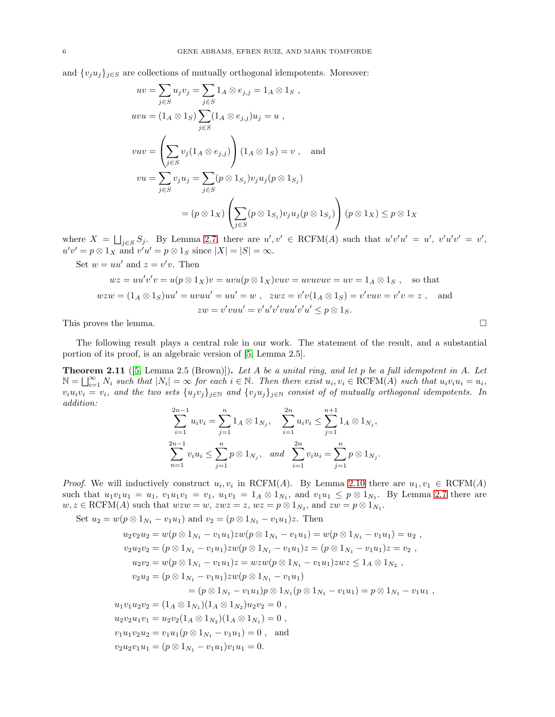and  $\{v_iu_j\}_{i\in S}$  are collections of mutually orthogonal idempotents. Moreover:

$$
uv = \sum_{j \in S} u_j v_j = \sum_{j \in S} 1_A \otimes e_{j,j} = 1_A \otimes 1_S,
$$
  
\n
$$
uvu = (1_A \otimes 1_S) \sum_{j \in S} (1_A \otimes e_{j,j}) u_j = u,
$$
  
\n
$$
vuv = \left(\sum_{j \in S} v_j (1_A \otimes e_{j,j})\right) (1_A \otimes 1_S) = v,
$$
 and  
\n
$$
vu = \sum_{j \in S} v_j u_j = \sum_{j \in S} (p \otimes 1_{S_j}) v_j u_j (p \otimes 1_{S_j})
$$
  
\n
$$
= (p \otimes 1_X) \left(\sum_{j \in S} (p \otimes 1_{S_j}) v_j u_j (p \otimes 1_{S_j})\right) (p \otimes 1_X) \leq p \otimes 1_X
$$

where  $X = \bigsqcup_{j \in S} S_j$ . By Lemma [2.7,](#page-3-2) there are  $u', v' \in RCFM(A)$  such that  $u'v'u' = u'$ ,  $v'u'v' = v'$ ,  $u'v' = p \otimes 1_X$  and  $v'u' = p \otimes 1_S$  since  $|X| = |S| = \infty$ .

Set 
$$
w = uu'
$$
 and  $z = v'v$ . Then  
\n $wz = uu'v'v = u(p \otimes 1_X)v = uvu(p \otimes 1_X)vuv = uvuvuv = uv = 1_A \otimes 1_S$ , so that  
\n $wzw = (1_A \otimes 1_S)uu' = uvuu' = uu' = w$ ,  $zwz = v'v(1_A \otimes 1_S) = v'vuv = v'v = z$ , and  
\n $zw = v'vuu' = v'u'v'vuu'v'u' \leq p \otimes 1_S$ .

This proves the lemma.  $\square$ 

The following result plays a central role in our work. The statement of the result, and a substantial portion of its proof, is an algebraic version of [\[5,](#page-21-5) Lemma 2.5].

<span id="page-5-0"></span>Theorem 2.11 ([\[5,](#page-21-5) Lemma 2.5 (Brown)]). *Let* A *be a unital ring, and let* p *be a full idempotent in* A*. Let*  $N = \bigsqcup_{i=1}^{\infty} N_i$  such that  $|N_i| = \infty$  for each  $i \in \mathbb{N}$ . Then there exist  $u_i, v_i \in \text{RCFM}(A)$  such that  $u_i v_i u_i = u_i$ ,  $v_i u_i v_i = v_i$ *, and the two sets*  $\{u_j v_j\}_{j\in\mathbb{N}}$  *and*  $\{v_j u_j\}_{j\in\mathbb{N}}$  *consist of of mutually orthogonal idempotents. In addition:*

$$
\sum_{i=1}^{2n-1} u_i v_i = \sum_{j=1}^n 1_A \otimes 1_{N_j}, \quad \sum_{i=1}^{2n} u_i v_i \le \sum_{j=1}^{n+1} 1_A \otimes 1_{N_j},
$$
  

$$
\sum_{n=1}^{2n-1} v_i u_i \le \sum_{j=1}^n p \otimes 1_{N_j}, \quad and \quad \sum_{i=1}^{2n} v_i u_i = \sum_{j=1}^n p \otimes 1_{N_j}.
$$

*Proof.* We will inductively construct  $u_i, v_i$  in RCFM(A). By Lemma [2.10](#page-4-1) there are  $u_1, v_1 \in \text{RCFM}(A)$ such that  $u_1v_1u_1 = u_1$ ,  $v_1u_1v_1 = v_1$ ,  $u_1v_1 = 1_A \otimes 1_{N_1}$ , and  $v_1u_1 \leq p \otimes 1_{N_1}$ . By Lemma [2.7](#page-3-2) there are  $w, z \in \text{RCFM}(A)$  such that  $wzw = w$ ,  $zwz = z$ ,  $wz = p \otimes 1_{N_2}$ , and  $zw = p \otimes 1_{N_1}$ .

Set  $u_2 = w(p \otimes 1_{N_1} - v_1u_1)$  and  $v_2 = (p \otimes 1_{N_1} - v_1u_1)z$ . Then

$$
u_2v_2u_2 = w(p \otimes 1_{N_1} - v_1u_1)zw(p \otimes 1_{N_1} - v_1u_1) = w(p \otimes 1_{N_1} - v_1u_1) = u_2,
$$
  
\n
$$
v_2u_2v_2 = (p \otimes 1_{N_1} - v_1u_1)zw(p \otimes 1_{N_1} - v_1u_1)z = (p \otimes 1_{N_1} - v_1u_1)z = v_2,
$$
  
\n
$$
u_2v_2 = w(p \otimes 1_{N_1} - v_1u_1)z = wzw(p \otimes 1_{N_1} - v_1u_1)zwz \le 1_A \otimes 1_{N_2},
$$
  
\n
$$
v_2u_2 = (p \otimes 1_{N_1} - v_1u_1)zw(p \otimes 1_{N_1} - v_1u_1)
$$
  
\n
$$
= (p \otimes 1_{N_1} - v_1u_1)p \otimes 1_{N_1}(p \otimes 1_{N_1} - v_1u_1) = p \otimes 1_{N_1} - v_1u_1,
$$
  
\n
$$
u_1v_1u_2v_2 = (1_A \otimes 1_{N_1})(1_A \otimes 1_{N_2})u_2v_2 = 0,
$$
  
\n
$$
u_2v_2u_1v_1 = u_2v_2(1_A \otimes 1_{N_2})(1_A \otimes 1_{N_1}) = 0,
$$
  
\n
$$
v_1u_1v_2u_2 = v_1u_1(p \otimes 1_{N_1} - v_1u_1) = 0,
$$
 and  
\n
$$
v_2u_2v_1u_1 = (p \otimes 1_{N_1} - v_1u_1)v_1u_1 = 0.
$$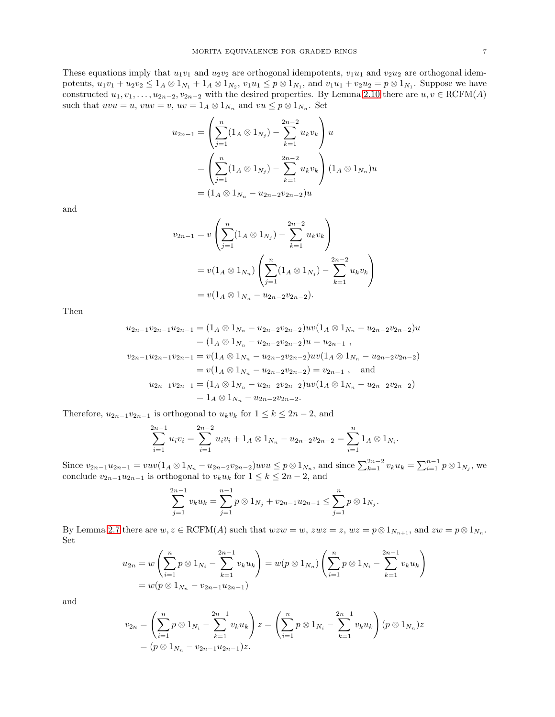These equations imply that  $u_1v_1$  and  $u_2v_2$  are orthogonal idempotents,  $v_1u_1$  and  $v_2u_2$  are orthogonal idempotents,  $u_1v_1 + u_2v_2 \leq 1_A \otimes 1_{N_1} + 1_A \otimes 1_{N_2}$ ,  $v_1u_1 \leq p \otimes 1_{N_1}$ , and  $v_1u_1 + v_2u_2 = p \otimes 1_{N_1}$ . Suppose we have constructed  $u_1, v_1, \ldots, u_{2n-2}, v_{2n-2}$  with the desired properties. By Lemma [2.10](#page-4-1) there are  $u, v \in \text{RCFM}(A)$ such that  $uvw = u$ ,  $vuv = v$ ,  $uv = 1_A \otimes 1_{N_n}$  and  $vu \leq p \otimes 1_{N_n}$ . Set

$$
u_{2n-1} = \left(\sum_{j=1}^{n} (1_A \otimes 1_{N_j}) - \sum_{k=1}^{2n-2} u_k v_k\right) u
$$
  
= 
$$
\left(\sum_{j=1}^{n} (1_A \otimes 1_{N_j}) - \sum_{k=1}^{2n-2} u_k v_k\right) (1_A \otimes 1_{N_n}) u
$$
  
= 
$$
(1_A \otimes 1_{N_n} - u_{2n-2} v_{2n-2}) u
$$

and

$$
v_{2n-1} = v \left( \sum_{j=1}^{n} (1_A \otimes 1_{N_j}) - \sum_{k=1}^{2n-2} u_k v_k \right)
$$
  
=  $v(1_A \otimes 1_{N_n}) \left( \sum_{j=1}^{n} (1_A \otimes 1_{N_j}) - \sum_{k=1}^{2n-2} u_k v_k \right)$   
=  $v(1_A \otimes 1_{N_n} - u_{2n-2}v_{2n-2}).$ 

Then

$$
u_{2n-1}v_{2n-1}u_{2n-1} = (1_A \otimes 1_{N_n} - u_{2n-2}v_{2n-2})uv(1_A \otimes 1_{N_n} - u_{2n-2}v_{2n-2})u
$$
  
\n
$$
= (1_A \otimes 1_{N_n} - u_{2n-2}v_{2n-2})u = u_{2n-1},
$$
  
\n
$$
v_{2n-1}u_{2n-1}v_{2n-1} = v(1_A \otimes 1_{N_n} - u_{2n-2}v_{2n-2})uv(1_A \otimes 1_{N_n} - u_{2n-2}v_{2n-2})
$$
  
\n
$$
= v(1_A \otimes 1_{N_n} - u_{2n-2}v_{2n-2}) = v_{2n-1},
$$
 and  
\n
$$
u_{2n-1}v_{2n-1} = (1_A \otimes 1_{N_n} - u_{2n-2}v_{2n-2})uv(1_A \otimes 1_{N_n} - u_{2n-2}v_{2n-2})
$$
  
\n
$$
= 1_A \otimes 1_{N_n} - u_{2n-2}v_{2n-2}.
$$

Therefore,  $u_{2n-1}v_{2n-1}$  is orthogonal to  $u_kv_k$  for  $1 \leq k \leq 2n-2$ , and

$$
\sum_{i=1}^{2n-1} u_i v_i = \sum_{i=1}^{2n-2} u_i v_i + 1_A \otimes 1_{N_n} - u_{2n-2} v_{2n-2} = \sum_{i=1}^n 1_A \otimes 1_{N_i}.
$$

Since  $v_{2n-1}u_{2n-1} = vuv(1_A \otimes 1_{N_n} - u_{2n-2}v_{2n-2})uvu \leq p \otimes 1_{N_n}$ , and since  $\sum_{k=1}^{2n-2} v_k u_k = \sum_{i=1}^{n-1} p \otimes 1_{N_i}$ , we conclude  $v_{2n-1}u_{2n-1}$  is orthogonal to  $v_ku_k$  for  $1 \leq k \leq 2n-2$ , and

$$
\sum_{j=1}^{2n-1} v_k u_k = \sum_{j=1}^{n-1} p \otimes 1_{N_j} + v_{2n-1} u_{2n-1} \le \sum_{j=1}^{n} p \otimes 1_{N_j}.
$$

By Lemma [2.7](#page-3-2) there are  $w, z \in \text{RCFM}(A)$  such that  $wzw = w$ ,  $zwz = z$ ,  $wz = p \otimes 1_{N_{n+1}}$ , and  $zw = p \otimes 1_{N_n}$ . Set

$$
u_{2n} = w \left( \sum_{i=1}^{n} p \otimes 1_{N_i} - \sum_{k=1}^{2n-1} v_k u_k \right) = w(p \otimes 1_{N_n}) \left( \sum_{i=1}^{n} p \otimes 1_{N_i} - \sum_{k=1}^{2n-1} v_k u_k \right)
$$
  
=  $w(p \otimes 1_{N_n} - v_{2n-1} u_{2n-1})$ 

and

$$
v_{2n} = \left(\sum_{i=1}^{n} p \otimes 1_{N_i} - \sum_{k=1}^{2n-1} v_k u_k\right) z = \left(\sum_{i=1}^{n} p \otimes 1_{N_i} - \sum_{k=1}^{2n-1} v_k u_k\right) (p \otimes 1_{N_n}) z
$$
  
=  $(p \otimes 1_{N_n} - v_{2n-1} u_{2n-1}) z.$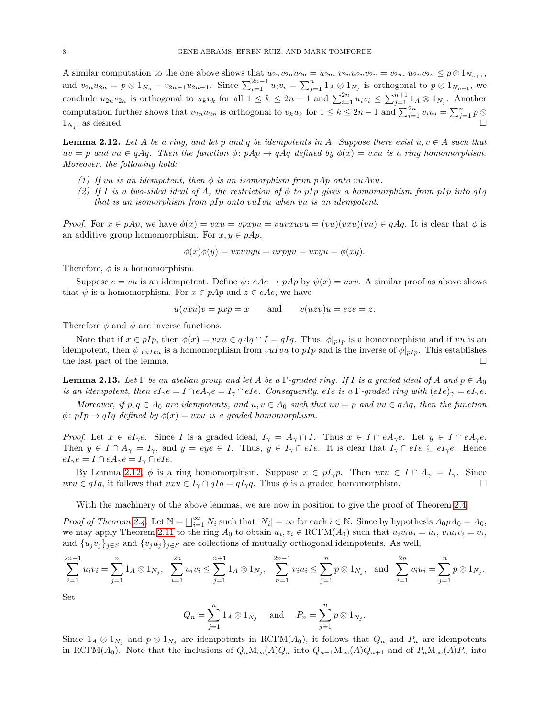A similar computation to the one above shows that  $u_{2n}v_{2n}u_{2n} = u_{2n}$ ,  $v_{2n}u_{2n}v_{2n} = v_{2n}$ ,  $u_{2n}v_{2n} \leq p \otimes 1_{N_{n+1}}$ , and  $v_{2n}u_{2n} = p \otimes 1_{N_n} - v_{2n-1}u_{2n-1}$ . Since  $\sum_{i=1}^{2n-1} u_i v_i = \sum_{j=1}^n 1_A \otimes 1_{N_j}$  is orthogonal to  $p \otimes 1_{N_{n+1}}$ , we conclude  $u_{2n}v_{2n}$  is orthogonal to  $u_kv_k$  for all  $1 \leq k \leq 2n-1$  and  $\sum_{i=1}^{2n} u_iv_i \leq \sum_{j=1}^{n+1} 1_A \otimes 1_{N_j}$ . Another computation further shows that  $v_{2n}u_{2n}$  is orthogonal to  $v_ku_k$  for  $1 \leq k \leq 2n-1$  and  $\sum_{i=1}^{2n} v_iu_i = \sum_{j=1}^{n} p \otimes p_j$  $1_{N_i}$ , as desired.  $\overline{\phantom{a}}$ , as desired.

<span id="page-7-1"></span>**Lemma 2.12.** Let A be a ring, and let p and q be idempotents in A. Suppose there exist  $u, v \in A$  such that  $uv = p$  and  $vu \in qAq$ . Then the function  $\phi: pAp \to qAq$  defined by  $\phi(x) = vxu$  is a ring homomorphism. *Moreover, the following hold:*

- *(1) If* vu *is an idempotent, then*  $\phi$  *is an isomorphism from pAp onto vuAvu.*
- *(2) If* I *is a two-sided ideal of* A*, the restriction of* φ *to* pIp *gives a homomorphism from* pIp *into* qIq *that is an isomorphism from* pIp *onto* vuIvu *when* vu *is an idempotent.*

*Proof.* For  $x \in pAp$ , we have  $\phi(x) = v x u = v p x p u = v u v x u v u = (vu)(vxu)(vu) \in qAq$ . It is clear that  $\phi$  is an additive group homomorphism. For  $x, y \in pAp$ ,

$$
\phi(x)\phi(y) = vxuvyu = vxyyu = vxyu = \phi(xy).
$$

Therefore,  $\phi$  is a homomorphism.

Suppose  $e = vu$  is an idempotent. Define  $\psi: eAe \to pAp$  by  $\psi(x) = uxv$ . A similar proof as above shows that  $\psi$  is a homomorphism. For  $x \in pAp$  and  $z \in eAe$ , we have

$$
u(vxu)v = pxp = x
$$
 and  $v(uzv)u = eze = z$ .

Therefore  $\phi$  and  $\psi$  are inverse functions.

Note that if  $x \in pI_p$ , then  $\phi(x) = vxu \in qAq \cap I = qIq$ . Thus,  $\phi|_{pI_p}$  is a homomorphism and if vu is an idempotent, then  $\psi|_{vulvu}$  is a homomorphism from  $vulvu$  to pIp and is the inverse of  $\phi|_{pIp}$ . This establishes the last part of the lemma.

<span id="page-7-0"></span>**Lemma 2.13.** Let  $\Gamma$  be an abelian group and let A be a  $\Gamma$ -graded ring. If I is a graded ideal of A and  $p \in A_0$ *is an idempotent, then*  $eI_{\gamma}e = I \cap eA_{\gamma}e = I_{\gamma} \cap eIe$ . Consequently, eIe *is a* Γ*-graded ring with*  $(eIe)_{\gamma} = eI_{\gamma}e$ .

*Moreover, if*  $p, q \in A_0$  *are idempotents, and*  $u, v \in A_0$  *such that*  $uv = p$  *and*  $vu \in qAq$ *, then the function*  $\phi: pIp \rightarrow qIq$  defined by  $\phi(x) = vxu$  is a graded homomorphism.

*Proof.* Let  $x \in eI_{\gamma}e$ . Since I is a graded ideal,  $I_{\gamma} = A_{\gamma} \cap I$ . Thus  $x \in I \cap eA_{\gamma}e$ . Let  $y \in I \cap eA_{\gamma}e$ . Then  $y \in I \cap A_{\gamma} = I_{\gamma}$ , and  $y = eye \in I$ . Thus,  $y \in I_{\gamma} \cap eIe$ . It is clear that  $I_{\gamma} \cap eIe \subseteq eI_{\gamma}e$ . Hence  $eI_{\gamma}e = I \cap eA_{\gamma}e = I_{\gamma} \cap eIe.$ 

By Lemma [2.12,](#page-7-1)  $\phi$  is a ring homomorphism. Suppose  $x \in pI_{\gamma}p$ . Then  $vxu \in I \cap A_{\gamma} = I_{\gamma}$ . Since  $v x u \in q I q$ , it follows that  $v x u \in I_{\gamma} \cap q I q = q I_{\gamma} q$ . Thus  $\phi$  is a graded homomorphism.

With the machinery of the above lemmas, we are now in position to give the proof of Theorem [2.4.](#page-3-0)

*Proof of Theorem [2.4](#page-3-0)*. Let  $\mathbb{N} = \bigsqcup_{i=1}^{\infty} N_i$  such that  $|N_i| = \infty$  for each  $i \in \mathbb{N}$ . Since by hypothesis  $A_0 p A_0 = A_0$ , we may apply Theorem [2.11](#page-5-0) to the ring  $A_0$  to obtain  $u_i, v_i \in \text{RCFM}(A_0)$  such that  $u_i v_i u_i = u_i$ ,  $v_i u_i v_i = v_i$ , and  $\{u_jv_j\}_{j\in S}$  and  $\{v_ju_j\}_{j\in S}$  are collections of mutually orthogonal idempotents. As well,

$$
\sum_{i=1}^{2n-1} u_i v_i = \sum_{j=1}^n 1_A \otimes 1_{N_j}, \quad \sum_{i=1}^{2n} u_i v_i \le \sum_{j=1}^{n+1} 1_A \otimes 1_{N_j}, \quad \sum_{n=1}^{2n-1} v_i u_i \le \sum_{j=1}^n p \otimes 1_{N_j}, \quad \text{and} \quad \sum_{i=1}^{2n} v_i u_i = \sum_{j=1}^n p \otimes 1_{N_j}.
$$

Set

$$
Q_n = \sum_{j=1}^n 1_A \otimes 1_{N_j}
$$
 and  $P_n = \sum_{j=1}^n p \otimes 1_{N_j}$ .

Since  $1_A \otimes 1_{N_i}$  and  $p \otimes 1_{N_j}$  are idempotents in RCFM( $A_0$ ), it follows that  $Q_n$  and  $P_n$  are idempotents in RCFM(A<sub>0</sub>). Note that the inclusions of  $Q_nM_\infty(A)Q_n$  into  $Q_{n+1}M_\infty(A)Q_{n+1}$  and of  $P_nM_\infty(A)P_n$  into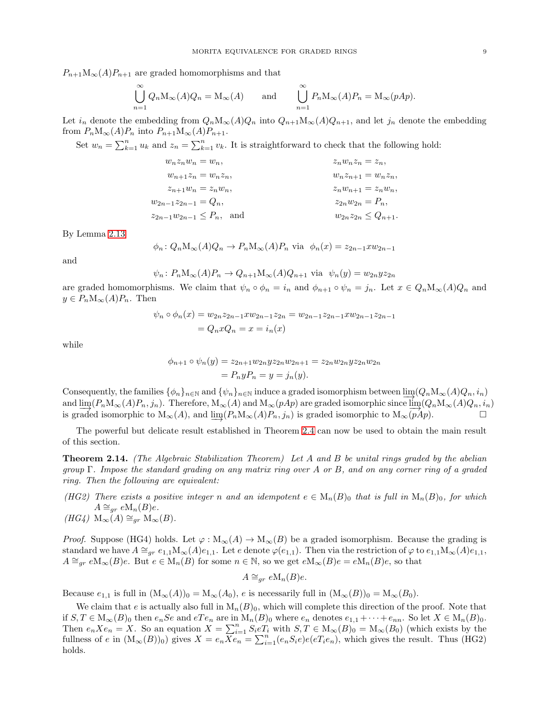$P_{n+1}M_{\infty}(A)P_{n+1}$  are graded homomorphisms and that

$$
\bigcup_{n=1}^{\infty} Q_n \mathcal{M}_{\infty}(A) Q_n = \mathcal{M}_{\infty}(A) \quad \text{and} \quad \bigcup_{n=1}^{\infty} P_n \mathcal{M}_{\infty}(A) P_n = \mathcal{M}_{\infty}(pAp).
$$

Let  $i_n$  denote the embedding from  $Q_n \mathcal{M}_{\infty}(A)Q_n$  into  $Q_{n+1}\mathcal{M}_{\infty}(A)Q_{n+1}$ , and let  $j_n$  denote the embedding from  $P_nM_\infty(A)P_n$  into  $P_{n+1}M_\infty(A)P_{n+1}$ .

Set  $w_n = \sum_{k=1}^n u_k$  and  $z_n = \sum_{k=1}^n v_k$ . It is straightforward to check that the following hold:

$$
w_n z_n w_n = w_n,
$$
  
\n
$$
w_{n+1} z_n = w_n z_n,
$$
  
\n
$$
z_{n+1} w_n = z_n w_n,
$$
  
\n
$$
w_{n+1} z_n = w_n z_n,
$$
  
\n
$$
w_{n+1} w_n = z_n w_n,
$$
  
\n
$$
z_n w_n z_n = z_n,
$$
  
\n
$$
w_{n+1} w_n = w_n z_n,
$$
  
\n
$$
z_n w_{n+1} = w_n z_n,
$$
  
\n
$$
z_n w_{n+1} = w_n z_n,
$$
  
\n
$$
z_n w_{n+1} = z_n w_n,
$$
  
\n
$$
z_n w_{n+1} = z_n w_n,
$$
  
\n
$$
z_{n+1} w_{n+1} = z_n w_{n+1}.
$$

By Lemma [2.13](#page-7-0)

$$
\phi_n
$$
:  $Q_n M_\infty(A) Q_n \to P_n M_\infty(A) P_n$  via  $\phi_n(x) = z_{2n-1} x w_{2n-1}$ 

and

$$
\psi_n: P_n M_\infty(A) P_n \to Q_{n+1} M_\infty(A) Q_{n+1}
$$
 via  $\psi_n(y) = w_{2n} y z_{2n}$ 

are graded homomorphisms. We claim that  $\psi_n \circ \phi_n = i_n$  and  $\phi_{n+1} \circ \psi_n = j_n$ . Let  $x \in Q_n \mathcal{M}_\infty(A)Q_n$  and  $y \in P_n \mathcal{M}_\infty(A) P_n$ . Then

$$
\psi_n \circ \phi_n(x) = w_{2n} z_{2n-1} x w_{2n-1} z_{2n} = w_{2n-1} z_{2n-1} x w_{2n-1} z_{2n-1}
$$
  
=  $Q_n x Q_n = x = i_n(x)$ 

while

$$
\phi_{n+1} \circ \psi_n(y) = z_{2n+1} w_{2n} y z_{2n} w_{2n+1} = z_{2n} w_{2n} y z_{2n} w_{2n}
$$
  
=  $P_n y P_n = y = j_n(y)$ .

Consequently, the families  $\{\phi_n\}_{n\in\mathbb{N}}$  and  $\{\psi_n\}_{n\in\mathbb{N}}$  induce a graded isomorphism between  $\lim_{n\to\infty}(Q_nM_{\infty}(A)Q_n, i_n)$ and  $\lim_{\longrightarrow} (P_n M_\infty(A) P_n, j_n)$ . Therefore,  $M_\infty(A)$  and  $M_\infty(pAp)$  are graded isomorphic since  $\lim_{\longrightarrow} (Q_n M_\infty(A) Q_n, i_n)$ is graded isomorphic to  $M_{\infty}(A)$ , and  $\underline{\lim}(P_n M_{\infty}(A)P_n, j_n)$  is graded isomorphic to  $M_{\infty}(pAp)$ .

The powerful but delicate result established in Theorem [2.4](#page-3-0) can now be used to obtain the main result of this section.

<span id="page-8-0"></span>Theorem 2.14. *(The Algebraic Stabilization Theorem) Let* A *and* B *be unital rings graded by the abelian group* Γ*. Impose the standard grading on any matrix ring over* A *or* B*, and on any corner ring of a graded ring. Then the following are equivalent:*

- *(HG2)* There exists a positive integer n and an idempotent  $e \in M_n(B)_0$  that is full in  $M_n(B)_0$ , for which  $A \cong_{gr} e \mathcal{M}_n(B)e$ .
- $(HG4)$  M<sub>∞</sub> $(A) \cong_{qr}$  M<sub>∞</sub> $(B)$ *.*

*Proof.* Suppose (HG4) holds. Let  $\varphi : M_{\infty}(A) \to M_{\infty}(B)$  be a graded isomorphism. Because the grading is standard we have  $A \cong_{gr} e_{1,1} \mathbb{M}_{\infty}(A)e_{1,1}$ . Let e denote  $\varphi(e_{1,1})$ . Then via the restriction of  $\varphi$  to  $e_{1,1}\mathbb{M}_{\infty}(A)e_{1,1}$ ,  $A \cong_{gr} eM_{\infty}(B)e$ . But  $e \in M_n(B)$  for some  $n \in \mathbb{N}$ , so we get  $eM_{\infty}(B)e = eM_n(B)e$ , so that

$$
A \cong_{gr} e \mathcal{M}_n(B)e.
$$

Because  $e_{1,1}$  is full in  $(M_\infty(A))_0 = M_\infty(A_0)$ , e is necessarily full in  $(M_\infty(B))_0 = M_\infty(B_0)$ .

We claim that e is actually also full in  $M_n(B)_0$ , which will complete this direction of the proof. Note that if  $S, T \in M_\infty(B)_0$  then  $e_n$  Se and  $eTe_n$  are in  $M_n(B)_0$  where  $e_n$  denotes  $e_{1,1} + \cdots + e_{nn}$ . So let  $X \in M_n(B)_0$ . Then  $e_n X e_n = X$ . So an equation  $X = \sum_{i=1}^n S_i e T_i$  with  $S, T \in M_\infty(B)_0 = M_\infty(B_0)$  (which exists by the fullness of e in  $(M_\infty(B))_0$  gives  $X = e_n \overline{X} e_n = \sum_{i=1}^n (e_n S_i e) e_e T_i e_n$ , which gives the result. Thus (HG2) holds.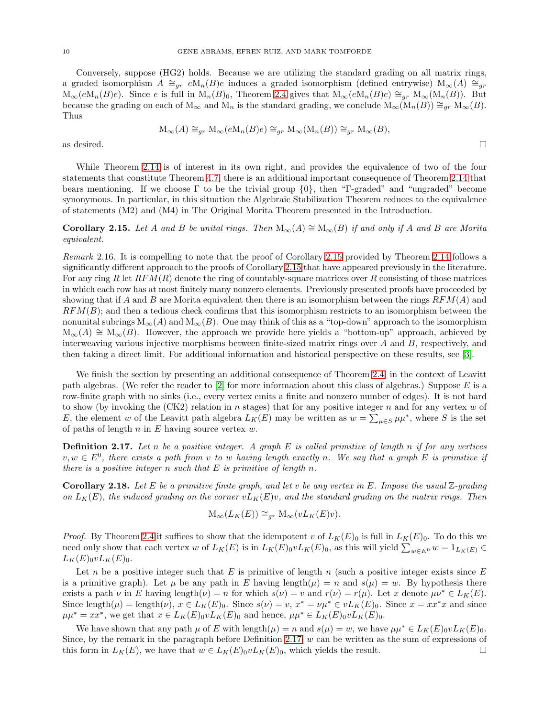Conversely, suppose (HG2) holds. Because we are utilizing the standard grading on all matrix rings, a graded isomorphism  $A \cong_{qr} eM_n(B)e$  induces a graded isomorphism (defined entrywise)  $M_\infty(A) \cong_{qr}$  $M_\infty(eM_n(B)e)$ . Since e is full in  $M_n(B)_0$ , Theorem [2.4](#page-3-0) gives that  $M_\infty(eM_n(B)e) \cong_{qr} M_\infty(M_n(B))$ . But because the grading on each of  $M_{\infty}$  and  $M_n$  is the standard grading, we conclude  $M_{\infty}(M_n(B)) \cong_{gr} M_{\infty}(B)$ . Thus

$$
\mathcal{M}_{\infty}(A) \cong_{gr} \mathcal{M}_{\infty}(e\mathcal{M}_n(B)e) \cong_{gr} \mathcal{M}_{\infty}(\mathcal{M}_n(B)) \cong_{gr} \mathcal{M}_{\infty}(B),
$$

as desired.  $\square$ 

While Theorem [2.14](#page-8-0) is of interest in its own right, and provides the equivalence of two of the four statements that constitute Theorem [4.7,](#page-18-0) there is an additional important consequence of Theorem [2.14](#page-8-0) that bears mentioning. If we choose  $\Gamma$  to be the trivial group  $\{0\}$ , then "Γ-graded" and "ungraded" become synonymous. In particular, in this situation the Algebraic Stabilization Theorem reduces to the equivalence of statements (M2) and (M4) in The Original Morita Theorem presented in the Introduction.

<span id="page-9-1"></span>Corollary 2.15. Let A and B be unital rings. Then  $M_{\infty}(A) \cong M_{\infty}(B)$  *if and only if* A and B are Morita *equivalent.*

<span id="page-9-0"></span>*Remark* 2.16*.* It is compelling to note that the proof of Corollary [2.15](#page-9-1) provided by Theorem [2.14](#page-8-0) follows a significantly different approach to the proofs of Corollary [2.15](#page-9-1) that have appeared previously in the literature. For any ring R let  $RFM(R)$  denote the ring of countably-square matrices over R consisting of those matrices in which each row has at most finitely many nonzero elements. Previously presented proofs have proceeded by showing that if A and B are Morita equivalent then there is an isomorphism between the rings  $RFM(A)$  and  $RFM(B)$ ; and then a tedious check confirms that this isomorphism restricts to an isomorphism between the nonunital subrings  $M_{\infty}(A)$  and  $M_{\infty}(B)$ . One may think of this as a "top-down" approach to the isomorphism  $M_{\infty}(A) \cong M_{\infty}(B)$ . However, the approach we provide here yields a "bottom-up" approach, achieved by interweaving various injective morphisms between finite-sized matrix rings over A and B, respectively, and then taking a direct limit. For additional information and historical perspective on these results, see [\[3\]](#page-21-6).

We finish the section by presenting an additional consequence of Theorem [2.4,](#page-3-0) in the context of Leavitt path algebras. (We refer the reader to  $[2]$  for more information about this class of algebras.) Suppose E is a row-finite graph with no sinks (i.e., every vertex emits a finite and nonzero number of edges). It is not hard to show (by invoking the  $(CK2)$  relation in n stages) that for any positive integer n and for any vertex w of E, the element w of the Leavitt path algebra  $L_K(E)$  may be written as  $w = \sum_{\mu \in S} \mu \mu^*$ , where S is the set of paths of length  $n$  in  $E$  having source vertex  $w$ .

<span id="page-9-2"></span>Definition 2.17. *Let* n *be a positive integer. A graph* E *is called primitive of length* n *if for any vertices*  $v, w \in E^0$ , there exists a path from v to w having length exactly n. We say that a graph E is primitive if *there is a positive integer* n *such that* E *is primitive of length* n*.*

Corollary 2.18. *Let* E *be a primitive finite graph, and let* v *be any vertex in* E*. Impose the usual* Z*-grading on*  $L_K(E)$ *, the induced grading on the corner*  $vL_K(E)v$ *, and the standard grading on the matrix rings. Then* 

$$
\mathcal{M}_{\infty}(L_K(E)) \cong_{gr} \mathcal{M}_{\infty}(vL_K(E)v).
$$

*Proof.* By Theorem [2.4](#page-3-0) it suffices to show that the idempotent v of  $L_K(E)_0$  is full in  $L_K(E)_0$ . To do this we need only show that each vertex w of  $L_K(E)$  is in  $L_K(E)_0 v L_K(E)_0$ , as this will yield  $\sum_{w \in E^0} w = 1_{L_K(E)} \in$  $L_K(E)_0 v L_K(E)_0.$ 

Let n be a positive integer such that E is primitive of length n (such a positive integer exists since  $E$ is a primitive graph). Let  $\mu$  be any path in E having length $(\mu) = n$  and  $s(\mu) = w$ . By hypothesis there exists a path  $\nu$  in E having length $(\nu) = n$  for which  $s(\nu) = v$  and  $r(\nu) = r(\mu)$ . Let x denote  $\mu \nu^* \in L_K(E)$ . Since length $(\mu) = \text{length}(\nu)$ ,  $x \in L_K(E)_0$ . Since  $s(\nu) = v$ ,  $x^* = \nu \mu^* \in vL_K(E)_0$ . Since  $x = xx^*x$  and since  $\mu\mu^* = xx^*$ , we get that  $x \in L_K(E)_0 v L_K(E)_0$  and hence,  $\mu\mu^* \in L_K(E)_0 v L_K(E)_0$ .

We have shown that any path  $\mu$  of E with length $(\mu) = n$  and  $s(\mu) = w$ , we have  $\mu \mu^* \in L_K(E)_0 \nu L_K(E)_0$ . Since, by the remark in the paragraph before Definition [2.17,](#page-9-2)  $w$  can be written as the sum of expressions of this form in  $L_K(E)$ , we have that  $w \in L_K(E)_0 v L_K(E)_0$ , which yields the result.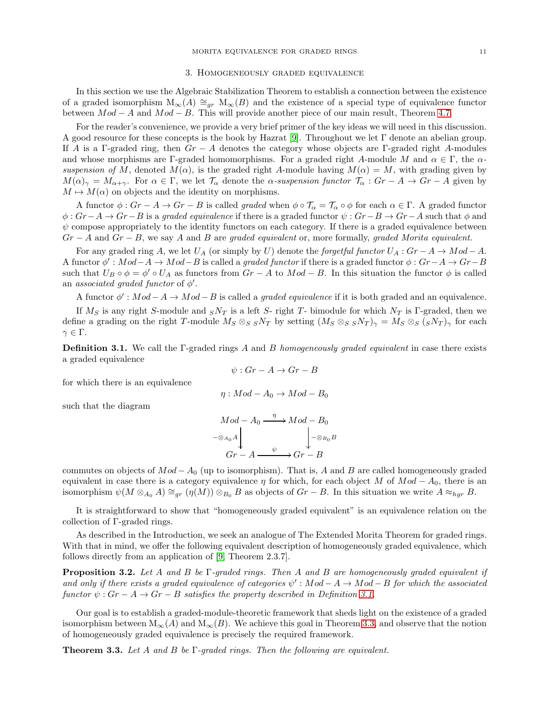#### 3. Homogeneously graded equivalence

In this section we use the Algebraic Stabilization Theorem to establish a connection between the existence of a graded isomorphism  $M_{\infty}(A) \cong_{gr} M_{\infty}(B)$  and the existence of a special type of equivalence functor between  $Mod - A$  and  $Mod - B$ . This will provide another piece of our main result, Theorem [4.7.](#page-18-0)

For the reader's convenience, we provide a very brief primer of the key ideas we will need in this discussion. A good resource for these concepts is the book by Hazrat [\[9\]](#page-21-1). Throughout we let Γ denote an abelian group. If A is a Γ-graded ring, then  $Gr - A$  denotes the category whose objects are Γ-graded right A-modules and whose morphisms are  $\Gamma$ -graded homomorphisms. For a graded right A-module M and  $\alpha \in \Gamma$ , the  $\alpha$ *suspension of* M, denoted  $M(\alpha)$ , is the graded right A-module having  $M(\alpha) = M$ , with grading given by  $M(\alpha)_{\gamma} = M_{\alpha+\gamma}$ . For  $\alpha \in \Gamma$ , we let  $\mathcal{T}_{\alpha}$  denote the  $\alpha$ -suspension functor  $\mathcal{T}_{\alpha}$ :  $Gr - A \rightarrow Gr - A$  given by  $M \mapsto M(\alpha)$  on objects and the identity on morphisms.

A functor  $\phi: Gr - A \to Gr - B$  is called *graded* when  $\phi \circ \mathcal{T}_{\alpha} = \mathcal{T}_{\alpha} \circ \phi$  for each  $\alpha \in \Gamma$ . A graded functor φ : Gr−A → Gr−B is a *graded equivalence* if there is a graded functor ψ : Gr−B → Gr−A such that φ and  $\psi$  compose appropriately to the identity functors on each category. If there is a graded equivalence between Gr − A and Gr − B, we say A and B are *graded equivalent* or, more formally, *graded Morita equivalent*.

For any graded ring A, we let  $U_A$  (or simply by U) denote the *forgetful functor*  $U_A : Gr - A \rightarrow Mod - A$ . A functor  $\phi': Mod-A \to Mod-B$  is called a *graded functor* if there is a graded functor  $\phi: Gr-A \to Gr-B$ such that  $U_B \circ \phi = \phi' \circ U_A$  as functors from  $Gr - A$  to  $Mod - B$ . In this situation the functor  $\phi$  is called an *associated graded functor* of  $\phi'$ .

A functor  $\phi' : Mod - A \to Mod - B$  is called a *graded equivalence* if it is both graded and an equivalence.

If  $M_S$  is any right S-module and  $sN_T$  is a left S- right T- bimodule for which  $N_T$  is Γ-graded, then we define a grading on the right T-module  $M_S \otimes_S sN_T$  by setting  $(M_S \otimes_S sN_T)_{\gamma} = M_S \otimes_S (sN_T)_{\gamma}$  for each  $\gamma \in \Gamma$ .

<span id="page-10-0"></span>Definition 3.1. We call the Γ-graded rings A and B *homogeneously graded equivalent* in case there exists a graded equivalence

$$
\psi: Gr - A \to Gr - B
$$

for which there is an equivalence

$$
\eta:Mod - A_0 \to Mod - B_0
$$

such that the diagram

$$
Mod - A_0 \xrightarrow{\eta} Mod - B_0
$$
  

$$
- \otimes_{A_0} A \downarrow_{Gr - A} \xrightarrow{\psi} Gr - B
$$

commutes on objects of  $Mod - A_0$  (up to isomorphism). That is, A and B are called homogeneously graded equivalent in case there is a category equivalence  $\eta$  for which, for each object M of  $Mod - A_0$ , there is an isomorphism  $\psi(M \otimes_{A_0} A) \cong_{gr} (\eta(M)) \otimes_{B_0} B$  as objects of  $Gr - B$ . In this situation we write  $A \approx_{hgr} B$ .

It is straightforward to show that "homogeneously graded equivalent" is an equivalence relation on the collection of Γ-graded rings.

As described in the Introduction, we seek an analogue of The Extended Morita Theorem for graded rings. With that in mind, we offer the following equivalent description of homogeneously graded equivalence, which follows directly from an application of [\[9,](#page-21-1) Theorem 2.3.7].

<span id="page-10-2"></span>Proposition 3.2. *Let* A *and* B *be* Γ*-graded rings. Then* A *and* B *are homogeneously graded equivalent if* and only if there exists a graded equivalence of categories  $\psi' : Mod - A \to Mod - B$  for which the associated *functor*  $\psi$ :  $Gr - A \rightarrow Gr - B$  *satisfies the property described in Definition* [3.1.](#page-10-0)

Our goal is to establish a graded-module-theoretic framework that sheds light on the existence of a graded isomorphism between  $M_{\infty}(A)$  and  $M_{\infty}(B)$ . We achieve this goal in Theorem [3.3,](#page-10-1) and observe that the notion of homogeneously graded equivalence is precisely the required framework.

<span id="page-10-1"></span>Theorem 3.3. *Let* A *and* B *be* Γ*-graded rings. Then the following are equivalent.*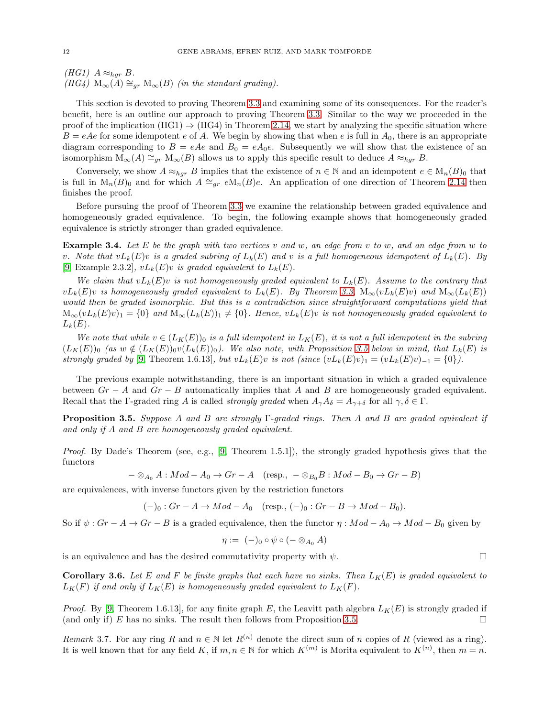*(HG1)*  $A \approx_{hgr} B$ .  $(HG4)$  M<sub>∞</sub> $(A) \cong_{gr} M_{\infty}(B)$  *(in the standard grading)*.

This section is devoted to proving Theorem [3.3](#page-10-1) and examining some of its consequences. For the reader's benefit, here is an outline our approach to proving Theorem [3.3.](#page-10-1) Similar to the way we proceeded in the proof of the implication (HG1)  $\Rightarrow$  (HG4) in Theorem [2.14,](#page-8-0) we start by analyzing the specific situation where  $B = eAe$  for some idempotent e of A. We begin by showing that when e is full in  $A_0$ , there is an appropriate diagram corresponding to  $B = eAe$  and  $B_0 = eA_0e$ . Subsequently we will show that the existence of an isomorphism  $M_{\infty}(A) \cong_{gr} M_{\infty}(B)$  allows us to apply this specific result to deduce  $A \approx_{hgr} B$ .

Conversely, we show  $A \approx_{hgr} B$  implies that the existence of  $n \in \mathbb{N}$  and an idempotent  $e \in M_n(B)_0$  that is full in  $M_n(B)_0$  and for which  $A \cong_{gr} eM_n(B)e$ . An application of one direction of Theorem [2.14](#page-8-0) then finishes the proof.

Before pursuing the proof of Theorem [3.3](#page-10-1) we examine the relationship between graded equivalence and homogeneously graded equivalence. To begin, the following example shows that homogeneously graded equivalence is strictly stronger than graded equivalence.

Example 3.4. *Let* E *be the graph with two vertices* v *and* w*, an edge from* v *to* w*, and an edge from* w *to v.* Note that  $vL_k(E)v$  is a graded subring of  $L_k(E)$  and v is a full homogeneous idempotent of  $L_k(E)$ . By [\[9,](#page-21-1) Example 2.3.2],  $vL_k(E)v$  *is graded equivalent to*  $L_k(E)$ *.* 

We claim that  $vL_k(E)v$  is not homogeneously graded equivalent to  $L_k(E)$ . Assume to the contrary that  $vL_k(E)v$  *is homogeneously graded equivalent to*  $L_k(E)$ *. By Theorem [3.3,](#page-10-1)*  $M_\infty(vL_k(E)v)$  *and*  $M_\infty(L_k(E))$ *would then be graded isomorphic. But this is a contradiction since straightforward computations yield that*  $M_\infty(vL_k(E)v)_1 = \{0\}$  and  $M_\infty(L_k(E))_1 \neq \{0\}$ . Hence,  $vL_k(E)v$  is not homogeneously graded equivalent to  $L_k(E)$ .

*We note that while*  $v \in (L_K(E))_0$  *is a full idempotent in*  $L_K(E)$ *, it is not a full idempotent in the subring*  $(L_K(E))$ <sub>0</sub> *(as*  $w \notin (L_K(E))_0v(L_k(E))_0$ ). We also note, with Proposition [3.5](#page-11-1) below in mind, that  $L_k(E)$  is *strongly graded by* [\[9,](#page-21-1) Theorem 1.6.13]*, but*  $vL_k(E)v$  *is not (since*  $(vL_k(E)v)_1 = (vL_k(E)v)_{-1} = \{0\}$ *).* 

The previous example notwithstanding, there is an important situation in which a graded equivalence between  $Gr - A$  and  $Gr - B$  automatically implies that A and B are homogeneously graded equivalent. Recall that the Γ-graded ring A is called *strongly graded* when  $A_{\gamma}A_{\delta}=A_{\gamma+\delta}$  for all  $\gamma,\delta\in\Gamma$ .

<span id="page-11-1"></span>Proposition 3.5. *Suppose* A *and* B *are strongly* Γ*-graded rings. Then* A *and* B *are graded equivalent if and only if* A *and* B *are homogeneously graded equivalent.*

*Proof.* By Dade's Theorem (see, e.g., [\[9,](#page-21-1) Theorem 1.5.1]), the strongly graded hypothesis gives that the functors

$$
- \otimes_{A_0} A : Mod - A_0 \to Gr - A \quad (resp., \ - \otimes_{B_0} B : Mod - B_0 \to Gr - B)
$$

are equivalences, with inverse functors given by the restriction functors

$$
(-)_0: Gr - A \to Mod - A_0
$$
 (resp.,  $(-)_0: Gr - B \to Mod - B_0$ ).

So if  $\psi$  :  $Gr - A \rightarrow Gr - B$  is a graded equivalence, then the functor  $\eta$  :  $Mod - A_0 \rightarrow Mod - B_0$  given by

$$
\eta := (-)_0 \circ \psi \circ (- \otimes_{A_0} A)
$$

is an equivalence and has the desired commutativity property with  $\psi$ .

<span id="page-11-0"></span>**Corollary 3.6.** Let E and F be finite graphs that each have no sinks. Then  $L_K(E)$  is graded equivalent to  $L_K(F)$  *if and only if*  $L_K(E)$  *is homogeneously graded equivalent to*  $L_K(F)$ *.* 

*Proof.* By [\[9,](#page-21-1) Theorem 1.6.13], for any finite graph E, the Leavitt path algebra  $L_K(E)$  is strongly graded if (and only if) E has no sinks. The result then follows from Proposition [3.5.](#page-11-1)

<span id="page-11-2"></span>*Remark* 3.7. For any ring R and  $n \in \mathbb{N}$  let  $R^{(n)}$  denote the direct sum of n copies of R (viewed as a ring). It is well known that for any field K, if  $m, n \in \mathbb{N}$  for which  $K^{(m)}$  is Morita equivalent to  $K^{(n)}$ , then  $m = n$ .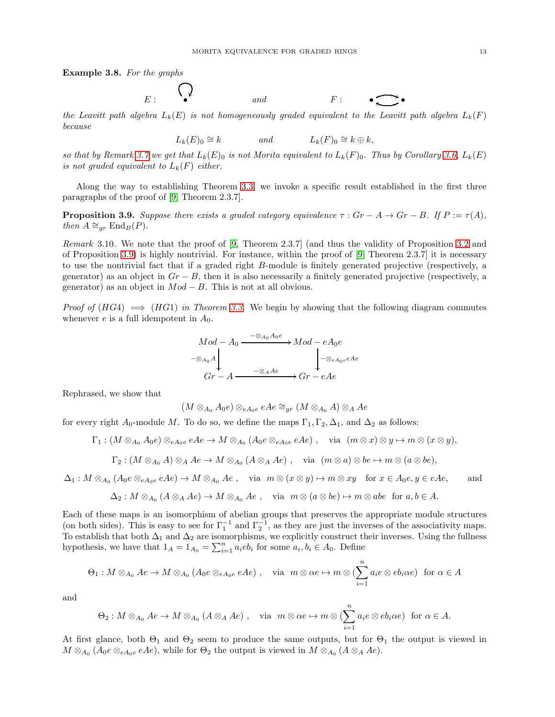Example 3.8. *For the graphs*

$$
E: \qquad \begin{array}{c} \bigcirc \\ \bullet \end{array} \qquad \qquad \text{and} \qquad \qquad F: \qquad \bullet \longrightarrow \bullet
$$

*the Leavitt path algebra*  $L_k(E)$  *is not homogeneously graded equivalent to the Leavitt path algebra*  $L_k(F)$ *because*

$$
L_k(E)_0 \cong k \qquad \text{and} \qquad L_k(F)_0 \cong k \oplus k,
$$

*so that by Remark [3.7](#page-11-2)* we get that  $L_k(E)$  *is not Morita equivalent to*  $L_k(F)$  *o. Thus by Corollary* [3.6,](#page-11-0)  $L_k(E)$ *is not graded equivalent to*  $L_k(F)$  *either.* 

Along the way to establishing Theorem [3.3,](#page-10-1) we invoke a specific result established in the first three paragraphs of the proof of [\[9,](#page-21-1) Theorem 2.3.7].

<span id="page-12-0"></span>**Proposition 3.9.** *Suppose there exists a graded category equivalence*  $\tau$  :  $Gr - A \rightarrow Gr - B$ *. If*  $P := \tau(A)$ *, then*  $A \cong_{gr} \text{End}_B(P)$ .

*Remark* 3.10*.* We note that the proof of [\[9,](#page-21-1) Theorem 2.3.7] (and thus the validity of Proposition [3.2](#page-10-2) and of Proposition [3.9\)](#page-12-0) is highly nontrivial. For instance, within the proof of [\[9,](#page-21-1) Theorem 2.3.7] it is necessary to use the nontrivial fact that if a graded right B-module is finitely generated projective (respectively, a generator) as an object in  $Gr - B$ , then it is also necessarily a finitely generated projective (respectively, a generator) as an object in  $Mod - B$ . This is not at all obvious.

*Proof of*  $(HG4) \implies (HG1)$  *in Theorem [3.3.](#page-10-1)* We begin by showing that the following diagram commutes whenever  $e$  is a full idempotent in  $A_0$ .

$$
Mod - A_0 \xrightarrow{\begin{array}{c} -\otimes_{A_0} A_0 e \\ \longrightarrow Mod - eA_0 e \\ -\otimes_{A_0} A \\ \downarrow \end{array}} Mod - eA_0 e \\ \downarrow \begin{array}{c} -\otimes_{A_0} e \\ \downarrow \end{array}
$$
  

$$
Gr - A \xrightarrow{\begin{array}{c} -\otimes_A Ae \\ \longleftarrow} \end{array}} Gr - eAe
$$

Rephrased, we show that

$$
(M\otimes_{A_0}A_0e)\otimes_{eA_0e}eAe\cong_{gr}(M\otimes_{A_0}A)\otimes_A Ae
$$

for every right  $A_0$ -module M. To do so, we define the maps  $\Gamma_1, \Gamma_2, \Delta_1$ , and  $\Delta_2$  as follows:

$$
\Gamma_1: (M\otimes_{A_0}A_0e)\otimes_{eA_0e}eAe \to M\otimes_{A_0}(A_0e\otimes_{eA_0e}eAe), \quad \text{via} \ \ (m\otimes x)\otimes y\mapsto m\otimes (x\otimes y),
$$

$$
\Gamma_2: (M\otimes_{A_0}A)\otimes_A Ae \to M\otimes_{A_0}(A\otimes_A Ae), \quad \text{via} \ \ (m\otimes a)\otimes be \mapsto m\otimes (a\otimes be),
$$

 $\Delta_1: M\otimes_{A_0} (A_0e\otimes_{eA_0e} eAe)\to M\otimes_{A_0} Ae$ , via  $m\otimes (x\otimes y)\mapsto m\otimes xy$  for  $x\in A_0e, y\in eAe$ , and

$$
\Delta_2: M\otimes_{A_0}(A\otimes_A Ae)\to M\otimes_{A_0} Ae\ ,\quad \text{via}\ \ m\otimes (a\otimes be)\mapsto m\otimes abe\ \ \text{for}\ a,b\in A.
$$

Each of these maps is an isomorphism of abelian groups that preserves the appropriate module structures (on both sides). This is easy to see for  $\Gamma_1^{-1}$  and  $\Gamma_2^{-1}$ , as they are just the inverses of the associativity maps. To establish that both  $\Delta_1$  and  $\Delta_2$  are isomorphisms, we explicitly construct their inverses. Using the fullness hypothesis, we have that  $1_A = 1_{A_0} = \sum_{i=1}^n a_i e b_i$  for some  $a_i, b_i \in A_0$ . Define

$$
\Theta_1: M \otimes_{A_0} Ae \to M \otimes_{A_0} (A_0e \otimes_{eA_0e} eAe), \quad \text{via} \quad m \otimes \alpha e \mapsto m \otimes (\sum_{i=1}^n a_i e \otimes eb_i \alpha e) \text{ for } \alpha \in A
$$

and

$$
\Theta_2: M\otimes_{A_0} Ae \to M\otimes_{A_0} (A\otimes_A Ae) , \quad \text{via } m\otimes \alpha e \mapsto m\otimes (\sum_{i=1}^n a_i e\otimes eb_i\alpha e) \text{ for } \alpha \in A.
$$

At first glance, both  $\Theta_1$  and  $\Theta_2$  seem to produce the same outputs, but for  $\Theta_1$  the output is viewed in  $M \otimes_{A_0} (A_0e \otimes_{eA_0e} eAe)$ , while for  $\Theta_2$  the output is viewed in  $M \otimes_{A_0} (A \otimes_A Ae)$ .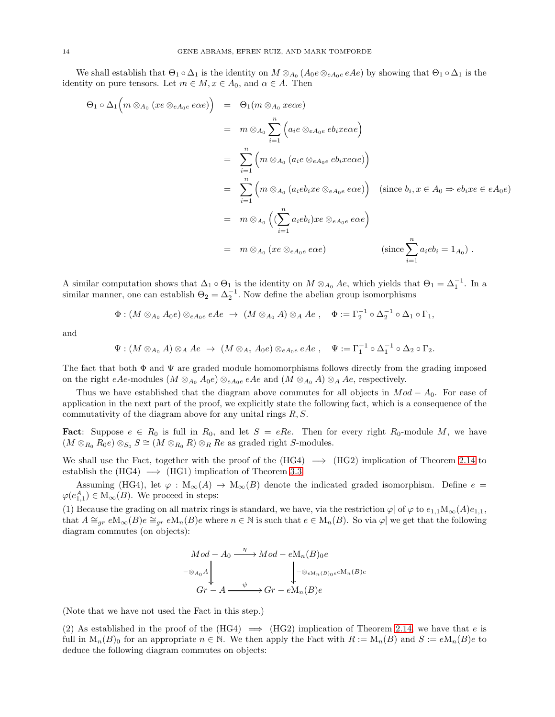We shall establish that  $\Theta_1 \circ \Delta_1$  is the identity on  $M \otimes_{A_0} (A_0e \otimes_{eA_0e} eAe)$  by showing that  $\Theta_1 \circ \Delta_1$  is the identity on pure tensors. Let  $m \in M$ ,  $x \in A_0$ , and  $\alpha \in A$ . Then

$$
\Theta_1 \circ \Delta_1 \Big( m \otimes_{A_0} (xe \otimes_{eA_0e} e\alpha e) \Big) = \Theta_1(m \otimes_{A_0} x e\alpha e)
$$
  
\n
$$
= m \otimes_{A_0} \sum_{i=1}^n \Big( a_i e \otimes_{eA_0e} eb_i x e\alpha e \Big)
$$
  
\n
$$
= \sum_{i=1}^n \Big( m \otimes_{A_0} (a_i e \otimes_{eA_0e} eb_i x e\alpha e) \Big)
$$
  
\n
$$
= \sum_{i=1}^n \Big( m \otimes_{A_0} (a_i e b_i x e \otimes_{eA_0e} e\alpha e) \Big) \quad \text{(since } b_i, x \in A_0 \Rightarrow e b_i x e \in eA_0 e)
$$
  
\n
$$
= m \otimes_{A_0} \Big( (\sum_{i=1}^n a_i e b_i) x e \otimes_{eA_0e} e\alpha e \Big)
$$
  
\n
$$
= m \otimes_{A_0} (xe \otimes_{eA_0e} e\alpha e) \qquad \text{(since } \sum_{i=1}^n a_i e b_i = 1_{A_0}) .
$$

A similar computation shows that  $\Delta_1 \circ \Theta_1$  is the identity on  $M \otimes_{A_0} Ae$ , which yields that  $\Theta_1 = \Delta_1^{-1}$ . In a similar manner, one can establish  $\Theta_2 = \Delta_2^{-1}$ . Now define the abelian group isomorphisms

$$
\Phi: (M\otimes_{A_0}A_0e)\otimes_{eA_0e}eAe\ \to\ (M\otimes_{A_0}A)\otimes_A Ae\ ,\quad \Phi:=\Gamma_2^{-1}\circ \Delta_2^{-1}\circ \Delta_1\circ \Gamma_1,
$$

and

$$
\Psi: (M\otimes_{A_0}A)\otimes_A Ae \rightarrow (M\otimes_{A_0}A_0e)\otimes_{eA_0e}eAe , \quad \Psi:=\Gamma_1^{-1}\circ \Delta_1^{-1}\circ \Delta_2\circ \Gamma_2.
$$

The fact that both  $\Phi$  and  $\Psi$  are graded module homomorphisms follows directly from the grading imposed on the right eAe-modules ( $M \otimes_{A_0} A_0e$ )  $\otimes_{eA_0e} eAe$  and ( $M \otimes_{A_0} A$ )  $\otimes_A Ae$ , respectively.

Thus we have established that the diagram above commutes for all objects in  $Mod - A<sub>0</sub>$ . For ease of application in the next part of the proof, we explicitly state the following fact, which is a consequence of the commutativity of the diagram above for any unital rings  $R, S$ .

**Fact:** Suppose  $e \in R_0$  is full in  $R_0$ , and let  $S = eRe$ . Then for every right  $R_0$ -module M, we have  $(M \otimes_{R_0} R_0e) \otimes_{S_0} S \cong (M \otimes_{R_0} R) \otimes_R Re$  as graded right S-modules.

We shall use the Fact, together with the proof of the  $(HG4) \implies (HG2)$  implication of Theorem [2.14](#page-8-0) to establish the  $(HG4) \implies (HG1)$  implication of Theorem [3.3.](#page-10-1)

Assuming (HG4), let  $\varphi : M_\infty(A) \to M_\infty(B)$  denote the indicated graded isomorphism. Define  $e =$  $\varphi(e_{1,1}^A) \in M_\infty(B)$ . We proceed in steps:

(1) Because the grading on all matrix rings is standard, we have, via the restriction  $\varphi$  of  $\varphi$  to  $e_{1,1}\text{M}_{\infty}(A)e_{1,1}$ , that  $A \cong_{qr} eM_{\infty}(B)e \cong_{qr} eM_n(B)e$  where  $n \in \mathbb{N}$  is such that  $e \in M_n(B)$ . So via  $\varphi$  we get that the following diagram commutes (on objects):

$$
Mod - A_0 \xrightarrow{\eta} Mod - eM_n(B)_0e
$$
  

$$
- \otimes_{A_0} A \downarrow_{\text{Gr}-A} \xrightarrow{\psi} Gr - eM_n(B)e
$$

(Note that we have not used the Fact in this step.)

(2) As established in the proof of the  $(HG4) \implies (HG2)$  implication of Theorem [2.14,](#page-8-0) we have that e is full in  $M_n(B)_0$  for an appropriate  $n \in \mathbb{N}$ . We then apply the Fact with  $R := M_n(B)$  and  $S := eM_n(B)e$  to deduce the following diagram commutes on objects: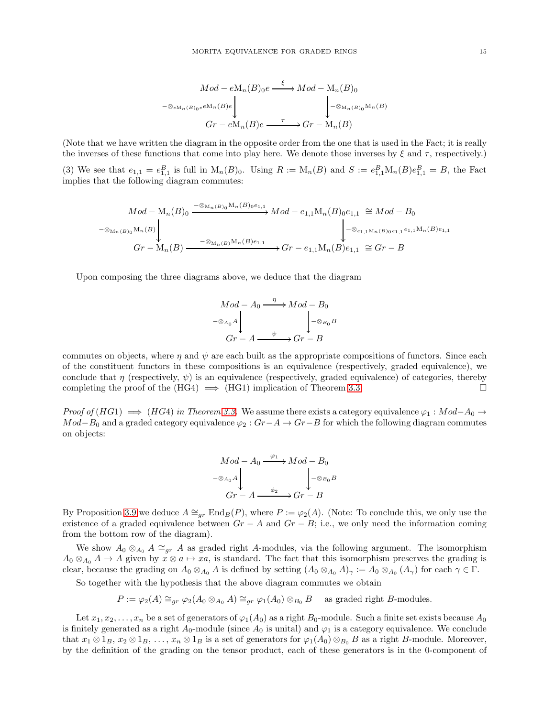$$
Mod - eM_n(B)_0e \xrightarrow{\xi} Mod - M_n(B)_0
$$
  

$$
\xrightarrow{-\otimes_{eM_n(B)_0e}eM_n(B)e} \downarrow_{\text{Grr} - eM_n(B)e} \qquad \qquad \downarrow_{-\otimes_{M_n(B)_0}M_n(B)}
$$
  

$$
Gr - eM_n(B)e \xrightarrow{\tau} Gr - M_n(B)
$$

(Note that we have written the diagram in the opposite order from the one that is used in the Fact; it is really the inverses of these functions that come into play here. We denote those inverses by  $\xi$  and  $\tau$ , respectively.) (3) We see that  $e_{1,1} = e_{1,1}^B$  is full in  $M_n(B)_0$ . Using  $R := M_n(B)$  and  $S := e_{1,1}^B M_n(B)e_{1,1}^B = B$ , the Fact implies that the following diagram commutes:

$$
Mod - M_n(B)_0 \xrightarrow{\neg \otimes_{M_n(B)_0} M_n(B)_{0}e_{1,1}} Mod - e_{1,1}M_n(B)_{0}e_{1,1} \cong Mod - B_0
$$
  

$$
\downarrow \qquad \qquad - \otimes_{M_n(B)_0} M_n(B)
$$
  

$$
Gr - M_n(B) \xrightarrow{\neg \otimes_{M_n(B)M_n(B)e_{1,1}}} Gr - e_{1,1}M_n(B)e_{1,1} \cong Gr - B
$$

Upon composing the three diagrams above, we deduce that the diagram

$$
Mod - A_0 \xrightarrow{\eta} Mod - B_0
$$
  

$$
- \otimes_{A_0} A \downarrow
$$
  

$$
Gr - A \xrightarrow{\psi} Gr - B
$$

commutes on objects, where  $\eta$  and  $\psi$  are each built as the appropriate compositions of functors. Since each of the constituent functors in these compositions is an equivalence (respectively, graded equivalence), we conclude that  $\eta$  (respectively,  $\psi$ ) is an equivalence (respectively, graded equivalence) of categories, thereby completing the proof of the  $(HG4) \implies (HG1)$  implication of Theorem [3.3.](#page-10-1)

*Proof of* (HG1)  $\implies$  (HG4) *in Theorem [3.3.](#page-10-1)* We assume there exists a category equivalence  $\varphi_1 : Mod - A_0 \to$  $Mod-B_0$  and a graded category equivalence  $\varphi_2 : Gr-A \to Gr-B$  for which the following diagram commutes on objects:

$$
Mod - A_0 \xrightarrow{\varphi_1} Mod - B_0
$$
  

$$
- \otimes_{A_0} A \downarrow
$$
  

$$
Gr - A \xrightarrow{\phi_2} Gr - B
$$

By Proposition [3.9](#page-12-0) we deduce  $A \cong_{qr} \text{End}_B(P)$ , where  $P := \varphi_2(A)$ . (Note: To conclude this, we only use the existence of a graded equivalence between  $Gr - A$  and  $Gr - B$ ; i.e., we only need the information coming from the bottom row of the diagram).

We show  $A_0 \otimes_{A_0} A \cong_{gr} A$  as graded right A-modules, via the following argument. The isomorphism  $A_0 \otimes_{A_0} A \to A$  given by  $x \otimes a \mapsto xa$ , is standard. The fact that this isomorphism preserves the grading is clear, because the grading on  $A_0 \otimes_{A_0} A$  is defined by setting  $(A_0 \otimes_{A_0} A)_{\gamma} := A_0 \otimes_{A_0} (A_{\gamma})$  for each  $\gamma \in \Gamma$ .

So together with the hypothesis that the above diagram commutes we obtain

$$
P := \varphi_2(A) \cong_{gr} \varphi_2(A_0 \otimes_{A_0} A) \cong_{gr} \varphi_1(A_0) \otimes_{B_0} B \quad \text{ as graded right } B\text{-modules.}
$$

Let  $x_1, x_2, \ldots, x_n$  be a set of generators of  $\varphi_1(A_0)$  as a right  $B_0$ -module. Such a finite set exists because  $A_0$ is finitely generated as a right  $A_0$ -module (since  $A_0$  is unital) and  $\varphi_1$  is a category equivalence. We conclude that  $x_1 \otimes 1_B$ ,  $x_2 \otimes 1_B$ , ...,  $x_n \otimes 1_B$  is a set of generators for  $\varphi_1(A_0) \otimes_{B_0} B$  as a right B-module. Moreover, by the definition of the grading on the tensor product, each of these generators is in the 0-component of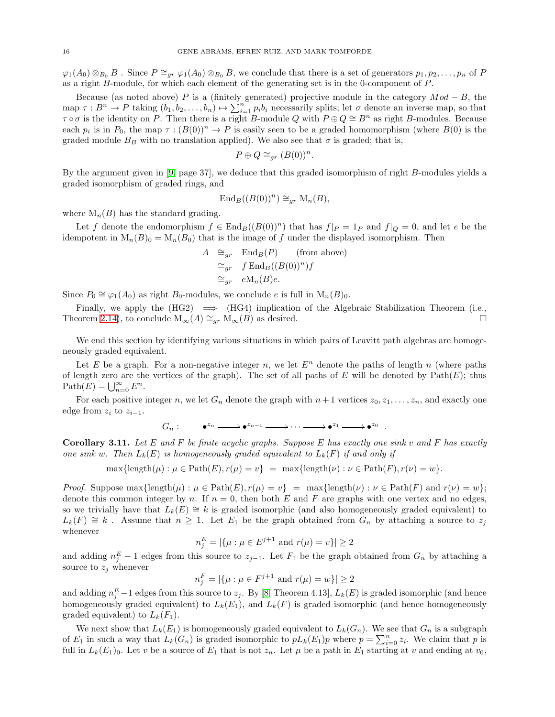$\varphi_1(A_0) \otimes_{B_0} B$ . Since  $P \cong_{qr} \varphi_1(A_0) \otimes_{B_0} B$ , we conclude that there is a set of generators  $p_1, p_2, \ldots, p_n$  of P as a right B-module, for which each element of the generating set is in the 0-component of P.

Because (as noted above) P is a (finitely generated) projective module in the category  $Mod - B$ , the map  $\tau: B^n \to P$  taking  $(b_1, b_2, \ldots, b_n) \mapsto \sum_{i=1}^n p_i b_i$  necessarily splits; let  $\sigma$  denote an inverse map, so that  $\tau \circ \sigma$  is the identity on P. Then there is a right B-module Q with  $P \oplus Q \cong B^n$  as right B-modules. Because each  $p_i$  is in  $P_0$ , the map  $\tau : (B(0))^n \to P$  is easily seen to be a graded homomorphism (where  $B(0)$  is the graded module  $B_B$  with no translation applied). We also see that  $\sigma$  is graded; that is,

$$
P \oplus Q \cong_{gr} (B(0))^n.
$$

By the argument given in [\[9,](#page-21-1) page 37], we deduce that this graded isomorphism of right B-modules yields a graded isomorphism of graded rings, and

$$
\operatorname{End}_B((B(0))^n) \cong_{gr} \operatorname{M}_n(B),
$$

where  $M_n(B)$  has the standard grading.

Let f denote the endomorphism  $f \in \text{End}_B((B(0))^n)$  that has  $f|_P = 1_P$  and  $f|_Q = 0$ , and let e be the idempotent in  $M_n(B_0) = M_n(B_0)$  that is the image of f under the displayed isomorphism. Then

$$
A \cong_{gr} \text{End}_{B}(P) \qquad \text{(from above)}
$$
  

$$
\cong_{gr} f \text{End}_{B}((B(0))^{n})f
$$
  

$$
\cong_{gr} eM_{n}(B)e.
$$

Since  $P_0 \cong \varphi_1(A_0)$  as right  $B_0$ -modules, we conclude e is full in  $M_n(B)_0$ .

Finally, we apply the  $(HG2) \implies (HG4)$  implication of the Algebraic Stabilization Theorem (i.e., Theorem [2.14\)](#page-8-0), to conclude  $M_{\infty}(A) \cong_{gr} M_{\infty}(B)$  as desired.

We end this section by identifying various situations in which pairs of Leavitt path algebras are homogeneously graded equivalent.

Let E be a graph. For a non-negative integer n, we let  $E<sup>n</sup>$  denote the paths of length n (where paths of length zero are the vertices of the graph). The set of all paths of  $E$  will be denoted by  $Path(E)$ ; thus Path $(E) = \bigcup_{n=0}^{\infty} E^n$ .

For each positive integer n, we let  $G_n$  denote the graph with  $n+1$  vertices  $z_0, z_1, \ldots, z_n$ , and exactly one edge from  $z_i$  to  $z_{i-1}$ .

 $G_n: \qquad \bullet^{z_n} \longrightarrow \bullet^{z_{n-1}} \longrightarrow \cdots \longrightarrow \bullet^{z_1} \longrightarrow \bullet^{z_0} \quad .$ 

<span id="page-15-0"></span>Corollary 3.11. *Let* E *and* F *be finite acyclic graphs. Suppose* E *has exactly one sink* v *and* F *has exactly one sink* w. Then  $L_k(E)$  *is homogeneously graded equivalent to*  $L_k(F)$  *if and only if* 

 $\max{\{\text{length}(\mu): \mu \in \text{Path}(E), r(\mu) = v\}} = \max{\{\text{length}(\nu): \nu \in \text{Path}(F), r(\nu) = w\}}.$ 

*Proof.* Suppose  $\max{\{\text{length}(\mu) : \mu \in \text{Path}(E), r(\mu) = v\}} = \max{\{\text{length}(\nu) : \nu \in \text{Path}(F) \text{ and } r(\nu) = w\}};$ denote this common integer by n. If  $n = 0$ , then both E and F are graphs with one vertex and no edges, so we trivially have that  $L_k(E) \cong k$  is graded isomorphic (and also homogeneously graded equivalent) to  $L_k(F) \cong k$ . Assume that  $n \geq 1$ . Let  $E_1$  be the graph obtained from  $G_n$  by attaching a source to  $z_j$ whenever

$$
n_j^E = |\{\mu : \mu \in E^{j+1} \text{ and } r(\mu) = v\}| \ge 2
$$

and adding  $n_j^E - 1$  edges from this source to  $z_{j-1}$ . Let  $F_1$  be the graph obtained from  $G_n$  by attaching a source to  $z_j$  whenever

$$
n_j^F = |\{\mu : \mu \in F^{j+1} \text{ and } r(\mu) = w\}| \ge 2
$$

and adding  $n_j^E-1$  edges from this source to  $z_j$ . By [\[8,](#page-21-8) Theorem 4.13],  $L_k(E)$  is graded isomorphic (and hence homogeneously graded equivalent) to  $L_k(E_1)$ , and  $L_k(F)$  is graded isomorphic (and hence homogeneously graded equivalent) to  $L_k(F_1)$ .

We next show that  $L_k(E_1)$  is homogeneously graded equivalent to  $L_k(G_n)$ . We see that  $G_n$  is a subgraph of  $E_1$  in such a way that  $L_k(G_n)$  is graded isomorphic to  $pL_k(E_1)p$  where  $p = \sum_{i=0}^n z_i$ . We claim that p is full in  $L_k(E_1)_0$ . Let v be a source of  $E_1$  that is not  $z_n$ . Let  $\mu$  be a path in  $E_1$  starting at v and ending at  $v_0$ ,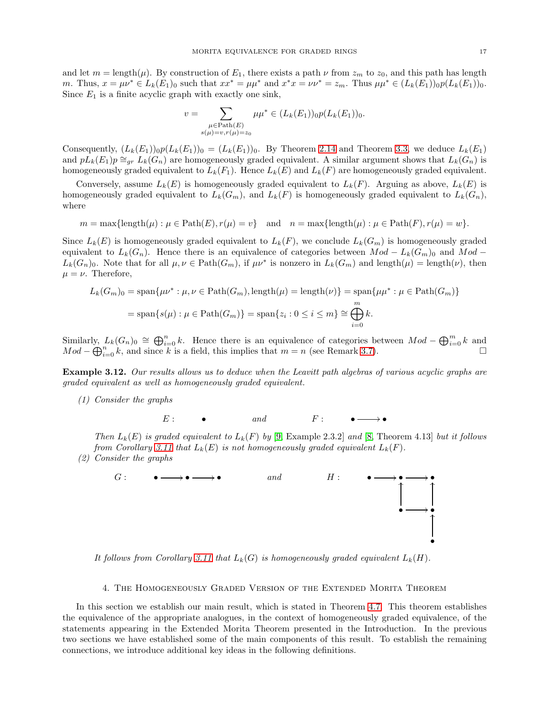and let  $m = \text{length}(\mu)$ . By construction of  $E_1$ , there exists a path  $\nu$  from  $z_m$  to  $z_0$ , and this path has length *m*. Thus,  $x = \mu \nu^* \in L_k(E_1)_0$  such that  $xx^* = \mu \mu^*$  and  $x^*x = \nu \nu^* = z_m$ . Thus  $\mu \mu^* \in (L_k(E_1))_0 p(L_k(E_1))_0$ . Since  $E_1$  is a finite acyclic graph with exactly one sink,

$$
v = \sum_{\substack{\mu \in \text{Path}(E) \\ s(\mu) = v, r(\mu) = z_0}} \mu \mu^* \in (L_k(E_1))_0 p(L_k(E_1))_0.
$$

Consequently,  $(L_k(E_1))_0 p(L_k(E_1))_0 = (L_k(E_1))_0$ . By Theorem [2.14](#page-8-0) and Theorem [3.3,](#page-10-1) we deduce  $L_k(E_1)$ and  $pL_k(E_1)p \cong_{qr} L_k(G_n)$  are homogeneously graded equivalent. A similar argument shows that  $L_k(G_n)$  is homogeneously graded equivalent to  $L_k(F_1)$ . Hence  $L_k(E)$  and  $L_k(F)$  are homogeneously graded equivalent.

Conversely, assume  $L_k(E)$  is homogeneously graded equivalent to  $L_k(F)$ . Arguing as above,  $L_k(E)$  is homogeneously graded equivalent to  $L_k(G_m)$ , and  $L_k(F)$  is homogeneously graded equivalent to  $L_k(G_n)$ , where

$$
m = \max\{\text{length}(\mu) : \mu \in \text{Path}(E), r(\mu) = v\} \quad \text{and} \quad n = \max\{\text{length}(\mu) : \mu \in \text{Path}(F), r(\mu) = w\}.
$$

Since  $L_k(E)$  is homogeneously graded equivalent to  $L_k(F)$ , we conclude  $L_k(G_m)$  is homogeneously graded equivalent to  $L_k(G_n)$ . Hence there is an equivalence of categories between  $Mod - L_k(G_m)$  and  $Mod L_k(G_n)_0$ . Note that for all  $\mu, \nu \in \text{Path}(G_m)$ , if  $\mu \nu^*$  is nonzero in  $L_k(G_m)$  and length $(\mu) = \text{length}(\nu)$ , then  $\mu = \nu$ . Therefore,

$$
L_k(G_m)_0 = \text{span}\{\mu\nu^* : \mu, \nu \in \text{Path}(G_m), \text{length}(\mu) = \text{length}(\nu)\} = \text{span}\{\mu\mu^* : \mu \in \text{Path}(G_m)\}
$$

$$
= \text{span}\{s(\mu) : \mu \in \text{Path}(G_m)\} = \text{span}\{z_i : 0 \le i \le m\} \cong \bigoplus_{i=0}^m k.
$$

Similarly,  $L_k(G_n)_0 \cong \bigoplus_{i=0}^n k$ . Hence there is an equivalence of categories between  $Mod - \bigoplus_{i=0}^m k$  and  $Mod - \bigoplus_{i=0}^{n} k$ , and since k is a field, this implies that  $m = n$  (see Remark [3.7\)](#page-11-2).

Example 3.12. *Our results allows us to deduce when the Leavitt path algebras of various acyclic graphs are graded equivalent as well as homogeneously graded equivalent.*

*(1) Consider the graphs*



*Then*  $L_k(E)$  *is graded equivalent to*  $L_k(F)$  *by* [\[9,](#page-21-1) Example 2.3.2] *and* [\[8,](#page-21-8) Theorem 4.13] *but it follows from Corollary* [3.11](#page-15-0) *that*  $L_k(E)$  *is not homogeneously graded equivalent*  $L_k(F)$ *.* 

*(2) Consider the graphs*



It follows from Corollary [3.11](#page-15-0) that  $L_k(G)$  is homogeneously graded equivalent  $L_k(H)$ .

# 4. The Homogeneously Graded Version of the Extended Morita Theorem

In this section we establish our main result, which is stated in Theorem [4.7.](#page-18-0) This theorem establishes the equivalence of the appropriate analogues, in the context of homogeneously graded equivalence, of the statements appearing in the Extended Morita Theorem presented in the Introduction. In the previous two sections we have established some of the main components of this result. To establish the remaining connections, we introduce additional key ideas in the following definitions.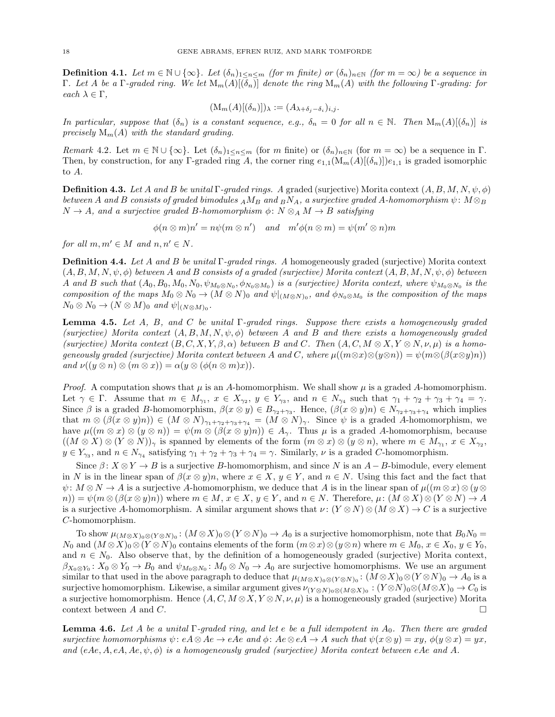<span id="page-17-0"></span>**Definition 4.1.** *Let*  $m \in \mathbb{N} \cup \{\infty\}$ *. Let*  $(\delta_n)_{1 \leq n \leq m}$  *(for*  $m$  *finite) or*  $(\delta_n)_{n \in \mathbb{N}}$  *(for*  $m = \infty$ *) be a sequence in* Γ*. Let* A *be a* Γ*-graded ring. We let* Mm(A)[(δn)] *denote the ring* Mm(A) *with the following* Γ*-grading: for each*  $\lambda \in \Gamma$ *,* 

$$
(\mathrm{M}_m(A)[(\delta_n)])_{\lambda} := (A_{\lambda+\delta_j-\delta_i})_{i,j}.
$$

*In particular, suppose that*  $(\delta_n)$  *is a constant sequence, e.g.,*  $\delta_n = 0$  *for all*  $n \in \mathbb{N}$ *. Then*  $M_m(A)[(\delta_n)]$  *is precisely* Mm(A) *with the standard grading.*

<span id="page-17-3"></span>*Remark* 4.2. Let  $m \in \mathbb{N} \cup \{\infty\}$ . Let  $(\delta_n)_{1 \leq n \leq m}$  (for m finite) or  $(\delta_n)_{n \in \mathbb{N}}$  (for  $m = \infty$ ) be a sequence in  $\Gamma$ . Then, by construction, for any Γ-graded ring A, the corner ring  $e_{1,1}(M_m(A)[(\delta_n)])e_{1,1}$  is graded isomorphic to A.

**Definition 4.3.** *Let* A and B *be unital* Γ*-graded rings.* A graded (surjective) Morita context  $(A, B, M, N, \psi, \phi)$ *between* A and B consists of graded bimodules  $_A M_B$  and  $_B N_A$ , a surjective graded A-homomorphism  $\psi \colon M \otimes_B R$  $N \to A$ , and a surjective graded B-homomorphism  $\phi \colon N \otimes_A M \to B$  satisfying

$$
\phi(n \otimes m)n' = n\psi(m \otimes n') \quad and \quad m'\phi(n \otimes m) = \psi(m' \otimes n)m
$$

*for all*  $m, m' \in M$  *and*  $n, n' \in N$ *.* 

Definition 4.4. *Let* A *and* B *be unital* Γ*-graded rings. A* homogeneously graded (surjective) Morita context  $(A, B, M, N, \psi, \phi)$  *between* A and B consists of a graded (surjective) Morita context  $(A, B, M, N, \psi, \phi)$  *between* A and B such that  $(A_0, B_0, M_0, N_0, \psi_{M_0 \otimes N_0}, \phi_{N_0 \otimes M_0})$  is a (surjective) Morita context, where  $\psi_{M_0 \otimes N_0}$  is the *composition of the maps*  $M_0 \otimes N_0 \to (M \otimes N)_0$  *and*  $\psi|_{(M \otimes N)_0}$ *, and*  $\phi_{N_0 \otimes M_0}$  *is the composition of the maps*  $N_0 \otimes N_0 \to (N \otimes M)_0$  and  $\psi|_{(N \otimes M)_0}$ .

<span id="page-17-1"></span>Lemma 4.5. *Let* A*,* B*, and* C *be unital* Γ*-graded rings. Suppose there exists a homogeneously graded*  $(surjective)$  Morita context  $(A, B, M, N, \psi, \phi)$  between A and B and there exists a homogeneously graded  $(surjective)$  Morita context  $(B, C, X, Y, \beta, \alpha)$  between B and C. Then  $(A, C, M \otimes X, Y \otimes N, \nu, \mu)$  is a homo*geneously graded (surjective) Morita context between* A and C, where  $\mu((m \otimes x) \otimes (y \otimes n)) = \psi(m \otimes (\beta(x \otimes y)n))$ *and*  $\nu((y \otimes n) \otimes (m \otimes x)) = \alpha(y \otimes (\phi(n \otimes m)x)).$ 

*Proof.* A computation shows that  $\mu$  is an A-homomorphism. We shall show  $\mu$  is a graded A-homomorphism. Let  $\gamma \in \Gamma$ . Assume that  $m \in M_{\gamma_1}$ ,  $x \in X_{\gamma_2}$ ,  $y \in Y_{\gamma_3}$ , and  $n \in N_{\gamma_4}$  such that  $\gamma_1 + \gamma_2 + \gamma_3 + \gamma_4 = \gamma$ . Since  $\beta$  is a graded B-homomorphism,  $\beta(x \otimes y) \in B_{\gamma_2+\gamma_3}$ . Hence,  $(\beta(x \otimes y)n) \in N_{\gamma_2+\gamma_3+\gamma_4}$  which implies that  $m \otimes (\beta(x \otimes y)n) \in (M \otimes N)_{\gamma_1+\gamma_2+\gamma_3+\gamma_4} = (M \otimes N)_{\gamma}$ . Since  $\psi$  is a graded A-homomorphism, we have  $\mu((m \otimes x) \otimes (y \otimes n)) = \psi(m \otimes (\beta(x \otimes y)n)) \in A_{\gamma}$ . Thus  $\mu$  is a graded A-homomorphism, because  $((M \otimes X) \otimes (Y \otimes N))_{\gamma}$  is spanned by elements of the form  $(m \otimes x) \otimes (y \otimes n)$ , where  $m \in M_{\gamma_1}, x \in X_{\gamma_2},$  $y \in Y_{\gamma_3}$ , and  $n \in N_{\gamma_4}$  satisfying  $\gamma_1 + \gamma_2 + \gamma_3 + \gamma_4 = \gamma$ . Similarly,  $\nu$  is a graded C-homomorphism.

Since  $\beta: X \otimes Y \to B$  is a surjective B-homomorphism, and since N is an A - B-bimodule, every element in N is in the linear span of  $\beta(x \otimes y)n$ , where  $x \in X$ ,  $y \in Y$ , and  $n \in N$ . Using this fact and the fact that  $\psi: M \otimes N \to A$  is a surjective A-homomorphism, we deduce that A is in the linear span of  $\mu((m \otimes x) \otimes (y \otimes$  $(n(n)) = \psi(m \otimes (\beta(x \otimes y)n))$  where  $m \in M$ ,  $x \in X$ ,  $y \in Y$ , and  $n \in N$ . Therefore,  $\mu: (M \otimes X) \otimes (Y \otimes N) \to A$ is a surjective A-homomorphism. A similar argument shows that  $\nu: (Y \otimes N) \otimes (M \otimes X) \to C$  is a surjective C-homomorphism.

To show  $\mu_{(M\otimes X)_0\otimes (Y\otimes N)_0}\colon (M\otimes X)_0\otimes (Y\otimes N)_0\to A_0$  is a surjective homomorphism, note that  $B_0N_0=$  $N_0$  and  $(M \otimes X)_0 \otimes (Y \otimes N)_0$  contains elements of the form  $(m \otimes x) \otimes (y \otimes n)$  where  $m \in M_0$ ,  $x \in X_0$ ,  $y \in Y_0$ , and  $n \in N_0$ . Also observe that, by the definition of a homogeneously graded (surjective) Morita context,  $\beta_{X_0\otimes Y_0}: X_0\otimes Y_0\to B_0$  and  $\psi_{M_0\otimes N_0}: M_0\otimes N_0\to A_0$  are surjective homomorphisms. We use an argument similar to that used in the above paragraph to deduce that  $\mu_{(M\otimes X)_0\otimes (Y\otimes N)_0}$ :  $(M\otimes X)_0\otimes (Y\otimes N)_0\to A_0$  is a surjective homomorphism. Likewise, a similar argument gives  $\nu_{(Y \otimes N)_0 \otimes (M \otimes X)_0} : (Y \otimes N)_0 \otimes (M \otimes X)_0 \to C_0$  is a surjective homomorphism. Hence  $(A, C, M \otimes X, Y \otimes N, \nu, \mu)$  is a homogeneously graded (surjective) Morita context between A and C.

<span id="page-17-2"></span>Lemma 4.6. *Let* A *be a unital* Γ*-graded ring, and let* e *be a full idempotent in* A0*. Then there are graded surjective homomorphisms*  $\psi: eA \otimes Ae \to eAe$  *and*  $\phi: Ae \otimes eA \to A$  *such that*  $\psi(x \otimes y) = xy$ *,*  $\phi(y \otimes x) = yx$ *, and* (eAe, A, eA, Ae, ψ, φ) *is a homogeneously graded (surjective) Morita context between* eAe *and* A*.*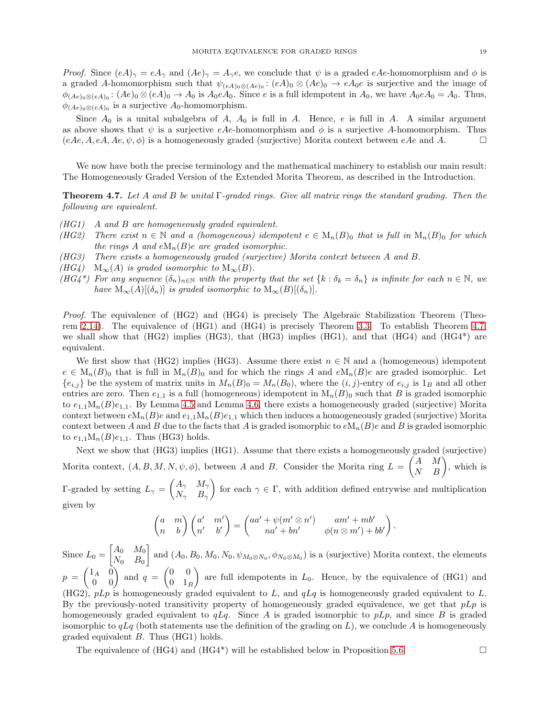*Proof.* Since  $(eA)_\gamma = eA_\gamma$  and  $(Ae)_\gamma = A_\gamma e$ , we conclude that  $\psi$  is a graded eAe-homomorphism and  $\phi$  is a graded A-homomorphism such that  $\psi_{(eA)_0\otimes(Ae)_0}$ :  $(eA)_0\otimes(Ae)_0 \to eA_0e$  is surjective and the image of  $\phi_{(Ae)_0\otimes(eA)_0}$ :  $(Ae)_0\otimes(eA)_0 \to A_0$  is  $A_0eA_0$ . Since e is a full idempotent in  $A_0$ , we have  $A_0eA_0 = A_0$ . Thus,  $\phi_{(Ae)_0 \otimes (eA)_0}$  is a surjective  $A_0$ -homomorphism.

Since  $A_0$  is a unital subalgebra of  $A$ ,  $A_0$  is full in  $A$ . Hence, e is full in  $A$ . A similar argument as above shows that  $\psi$  is a surjective eAe-homomorphism and  $\phi$  is a surjective A-homomorphism. Thus  $(eAe, A, eA, Ae, \psi, \phi)$  is a homogeneously graded (surjective) Morita context between  $eAe$  and A.

We now have both the precise terminology and the mathematical machinery to establish our main result: The Homogeneously Graded Version of the Extended Morita Theorem, as described in the Introduction.

<span id="page-18-0"></span>Theorem 4.7. *Let* A *and* B *be unital* Γ*-graded rings. Give all matrix rings the standard grading. Then the following are equivalent.*

- *(HG1)* A *and* B *are homogeneously graded equivalent.*
- *(HG2)* There exist  $n \in \mathbb{N}$  and a *(homogeneous)* idempotent  $e \in M_n(B)$  that is full in  $M_n(B)$  for which *the rings* A and  $eM_n(B)e$  are graded isomorphic.
- *(HG3) There exists a homogeneously graded (surjective) Morita context between* A *and* B*.*
- *(HG4)*  $M_{\infty}(A)$  *is graded isomorphic to*  $M_{\infty}(B)$ *.*
- *(HG4\*)* For any sequence  $(\delta_n)_{n\in\mathbb{N}}$  *with the property that the set*  $\{k : \delta_k = \delta_n\}$  *is infinite for each*  $n \in \mathbb{N}$ *, we have*  $M_{\infty}(A)[(\delta_n)]$  *is graded isomorphic to*  $M_{\infty}(B)[(\delta_n)]$ *.*

*Proof.* The equivalence of (HG2) and (HG4) is precisely The Algebraic Stabilization Theorem (Theorem [2.14\)](#page-8-0). The equivalence of (HG1) and (HG4) is precisely Theorem [3.3.](#page-10-1) To establish Theorem [4.7,](#page-18-0) we shall show that  $(HG2)$  implies  $(HG3)$ , that  $(HG3)$  implies  $(HG1)$ , and that  $(HG4)$  and  $(HG4<sup>*</sup>)$  are equivalent.

We first show that (HG2) implies (HG3). Assume there exist  $n \in \mathbb{N}$  and a (homogeneous) idempotent  $e \in M_n(B)_0$  that is full in  $M_n(B)_0$  and for which the rings A and  $eM_n(B)e$  are graded isomorphic. Let  ${e_{i,j}}$  be the system of matrix units in  $M_n(B)_0 = M_n(B_0)$ , where the  $(i, j)$ -entry of  $e_{i,j}$  is  $1_B$  and all other entries are zero. Then  $e_{1,1}$  is a full (homogeneous) idempotent in  $M_n(B)$  such that B is graded isomorphic to  $e_{1,1}M_n(B)e_{1,1}$ . By Lemma [4.5](#page-17-1) and Lemma [4.6,](#page-17-2) there exists a homogeneously graded (surjective) Morita context between  $eM_n(B)e$  and  $e_{1,1}M_n(B)e_{1,1}$  which then induces a homogeneously graded (surjective) Morita context between A and B due to the facts that A is graded isomorphic to  $eM_n(B)e$  and B is graded isomorphic to  $e_{1,1}M_n(B)e_{1,1}$ . Thus (HG3) holds.

Next we show that (HG3) implies (HG1). Assume that there exists a homogeneously graded (surjective) Morita context,  $(A, B, M, N, \psi, \phi)$ , between A and B. Consider the Morita ring  $L = \begin{pmatrix} A & M \\ N & B \end{pmatrix}$ , which is

Γ-graded by setting  $L_{\gamma} = \begin{pmatrix} A_{\gamma} & M_{\gamma} \\ N & R \end{pmatrix}$  $N_\gamma$  B<sub>γ</sub> for each  $\gamma \in \Gamma$ , with addition defined entrywise and multiplication given by

$$
\begin{pmatrix} a & m \\ n & b \end{pmatrix} \begin{pmatrix} a' & m' \\ n' & b' \end{pmatrix} = \begin{pmatrix} aa' + \psi(m' \otimes n') & am' + mb' \\ na' + bn' & \phi(n \otimes m') + bb' \end{pmatrix}.
$$

Since  $L_0 = \begin{bmatrix} A_0 & M_0 \ N_0 & B_0 \end{bmatrix}$  $N_0$   $B_0$ and  $(A_0, B_0, M_0, N_0, \psi_{M_0 \otimes N_0}, \phi_{N_0 \otimes M_0})$  is a (surjective) Morita context, the elements  $p = \begin{pmatrix} 1_A & 0 \ 0 & 0 \end{pmatrix}$  and  $q = \begin{pmatrix} 0 & 0 \ 0 & 1_B \end{pmatrix}$  $0 \t1_B$ ) are full idempotents in  $L_0$ . Hence, by the equivalence of (HG1) and (HG2),  $pLp$  is homogeneously graded equivalent to L, and  $qLq$  is homogeneously graded equivalent to L. By the previously-noted transitivity property of homogeneously graded equivalence, we get that  $pLp$  is homogeneously graded equivalent to  $qLq$ . Since A is graded isomorphic to  $pLp$ , and since B is graded isomorphic to  $qLq$  (both statements use the definition of the grading on L), we conclude A is homogeneously graded equivalent B. Thus (HG1) holds.

The equivalence of  $(HG4)$  and  $(HG4^*)$  will be established below in Proposition [5.6.](#page-21-9)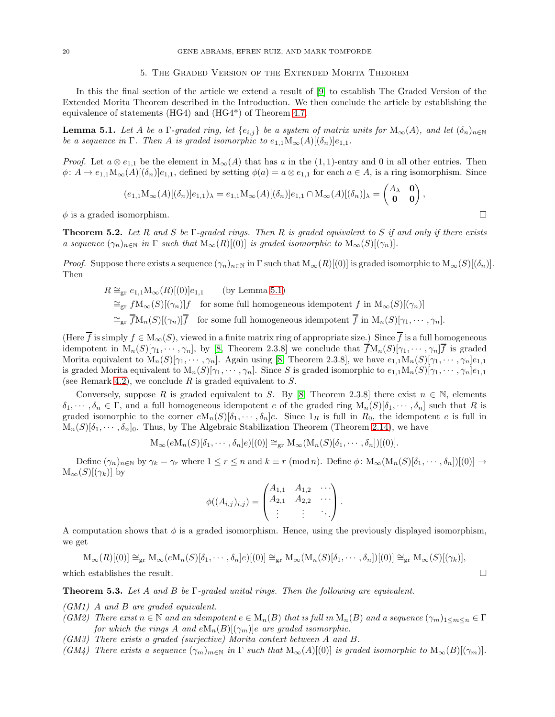#### 5. The Graded Version of the Extended Morita Theorem

In this the final section of the article we extend a result of [\[9\]](#page-21-1) to establish The Graded Version of the Extended Morita Theorem described in the Introduction. We then conclude the article by establishing the equivalence of statements (HG4) and (HG4\*) of Theorem [4.7.](#page-18-0)

<span id="page-19-2"></span>**Lemma 5.1.** *Let* A *be a* Γ*-graded ring, let*  $\{e_{i,j}\}$  *be a system of matrix units for*  $M_{\infty}(A)$ *, and let*  $(\delta_n)_{n\in\mathbb{N}}$ *be a sequence in* Γ*. Then A is graded isomorphic to*  $e_{1,1}M_\infty(A)[(\delta_n)]e_{1,1}$ *.* 

*Proof.* Let  $a \otimes e_{1,1}$  be the element in  $M_{\infty}(A)$  that has a in the (1, 1)-entry and 0 in all other entries. Then  $\phi: A \to e_{1,1}\mathcal{M}_{\infty}(A)[(\delta_n)]e_{1,1}$ , defined by setting  $\phi(a) = a \otimes e_{1,1}$  for each  $a \in A$ , is a ring isomorphism. Since

$$
(e_{1,1}M_{\infty}(A)[(\delta_n)]e_{1,1})_{\lambda}=e_{1,1}M_{\infty}(A)[(\delta_n)]e_{1,1}\cap M_{\infty}(A)[(\delta_n)]_{\lambda}=\begin{pmatrix}A_{\lambda}&\mathbf{0}\\ \mathbf{0}&\mathbf{0}\end{pmatrix},
$$

 $\phi$  is a graded isomorphism.

<span id="page-19-1"></span>Theorem 5.2. *Let* R *and* S *be* Γ*-graded rings. Then* R *is graded equivalent to* S *if and only if there exists a sequence*  $(\gamma_n)_{n \in \mathbb{N}}$  *in*  $\Gamma$  *such that*  $M_\infty(R)[0]$  *is graded isomorphic to*  $M_\infty(S)[(\gamma_n)]$ *.* 

*Proof.* Suppose there exists a sequence  $(\gamma_n)_{n\in\mathbb{N}}$  in  $\Gamma$  such that  $M_\infty(R)[(0)]$  is graded isomorphic to  $M_\infty(S)[(\delta_n)]$ . Then

$$
R \cong_{\text{gr}} e_{1,1} M_{\infty}(R)[(0)]e_{1,1} \qquad \text{(by Lemma 5.1)}
$$
  

$$
\cong_{\text{gr}} f M_{\infty}(S)[(\gamma_n)]f \quad \text{for some full homogeneous idempotent } f \text{ in } M_{\infty}(S)[(\gamma_n)]
$$
  

$$
\cong_{\text{gr}} \overline{f} M_n(S)[(\gamma_n)]\overline{f} \quad \text{for some full homogeneous idempotent } \overline{f} \text{ in } M_n(S)[\gamma_1, \cdots, \gamma_n].
$$

(Here  $\overline{f}$  is simply  $f \in M_\infty(S)$ , viewed in a finite matrix ring of appropriate size.) Since  $\overline{f}$  is a full homogeneous idempotent in  $M_n(S)[\gamma_1, \cdots, \gamma_n]$ , by [\[8,](#page-21-8) Theorem 2.3.8] we conclude that  $\overline{f}M_n(S)[\gamma_1, \cdots, \gamma_n]\overline{f}$  is graded Morita equivalent to  $M_n(S)[\gamma_1, \cdots, \gamma_n]$ . Again using [\[8,](#page-21-8) Theorem 2.3.8], we have  $e_{1,1}M_n(S)[\gamma_1, \cdots, \gamma_n]e_{1,1}$ is graded Morita equivalent to  $M_n(S)[\gamma_1, \cdots, \gamma_n]$ . Since S is graded isomorphic to  $e_{1,1}M_n(S)[\gamma_1, \cdots, \gamma_n]e_{1,1}$ (see Remark [4.2\)](#page-17-3), we conclude R is graded equivalent to  $S$ .

Conversely, suppose R is graded equivalent to S. By [\[8,](#page-21-8) Theorem 2.3.8] there exist  $n \in \mathbb{N}$ , elements  $\delta_1, \dots, \delta_n \in \Gamma$ , and a full homogeneous idempotent e of the graded ring  $M_n(S)[\delta_1, \dots, \delta_n]$  such that R is graded isomorphic to the corner  $eM_n(S)[\delta_1, \cdots, \delta_n]e$ . Since  $1_R$  is full in  $R_0$ , the idempotent e is full in  $M_n(S)[\delta_1, \cdots, \delta_n]_0$ . Thus, by The Algebraic Stabilization Theorem (Theorem [2.14\)](#page-8-0), we have

$$
\mathcal{M}_{\infty}(e\mathcal{M}_n(S)[\delta_1,\cdots,\delta_n]e)[(0)] \cong_{\text{gr}} \mathcal{M}_{\infty}(\mathcal{M}_n(S)[\delta_1,\cdots,\delta_n])[(0)].
$$

Define  $(\gamma_n)_{n\in\mathbb{N}}$  by  $\gamma_k = \gamma_r$  where  $1 \leq r \leq n$  and  $k \equiv r \pmod{n}$ . Define  $\phi \colon \mathcal{M}_{\infty}(\mathcal{M}_n(S)[\delta_1, \cdots, \delta_n])[(0)] \to$  $M_{\infty}(S)[(\gamma_k)]$  by

$$
\phi((A_{i,j})_{i,j}) = \begin{pmatrix} A_{1,1} & A_{1,2} & \cdots \\ A_{2,1} & A_{2,2} & \cdots \\ \vdots & \vdots & \ddots \end{pmatrix}.
$$

A computation shows that  $\phi$  is a graded isomorphism. Hence, using the previously displayed isomorphism, we get

$$
M_{\infty}(R)[(0)] \cong_{gr} M_{\infty}(eM_n(S)[\delta_1,\cdots,\delta_n]e)[(0)] \cong_{gr} M_{\infty}(M_n(S)[\delta_1,\cdots,\delta_n])[(0)] \cong_{gr} M_{\infty}(S)[(\gamma_k)],
$$

which establishes the result.  $\Box$ 

<span id="page-19-0"></span>Theorem 5.3. *Let* A *and* B *be* Γ*-graded unital rings. Then the following are equivalent.*

*(GM1)* A *and* B *are graded equivalent.*

- *(GM2)* There exist  $n \in \mathbb{N}$  and an idempotent  $e \in M_n(B)$  that is full in  $M_n(B)$  and a sequence  $(\gamma_m)_{1 \leq m \leq n} \in \Gamma$ *for which the rings* A *and*  $eM_n(B)[(\gamma_m)]e$  *are graded isomorphic.*
- *(GM3) There exists a graded (surjective) Morita context between* A *and* B*.*
- *(GM4)* There exists a sequence  $(\gamma_m)_{m\in\mathbb{N}}$  in  $\Gamma$  such that  $M_\infty(A)[(0)]$  is graded isomorphic to  $M_\infty(B)[(\gamma_m)]$ .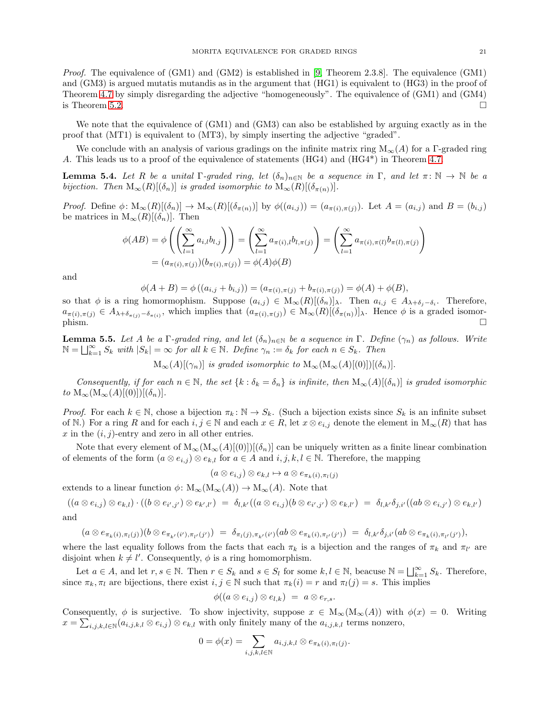*Proof.* The equivalence of (GM1) and (GM2) is established in [\[9,](#page-21-1) Theorem 2.3.8]. The equivalence (GM1) and (GM3) is argued mutatis mutandis as in the argument that (HG1) is equivalent to (HG3) in the proof of Theorem [4.7](#page-18-0) by simply disregarding the adjective "homogeneously". The equivalence of (GM1) and (GM4) is Theorem [5.2.](#page-19-1)

We note that the equivalence of (GM1) and (GM3) can also be established by arguing exactly as in the proof that (MT1) is equivalent to (MT3), by simply inserting the adjective "graded".

We conclude with an analysis of various gradings on the infinite matrix ring  $M_{\infty}(A)$  for a Γ-graded ring A. This leads us to a proof of the equivalence of statements (HG4) and (HG4\*) in Theorem [4.7.](#page-18-0)

<span id="page-20-0"></span>**Lemma 5.4.** Let R be a unital  $\Gamma$ -graded ring, let  $(\delta_n)_{n \in \mathbb{N}}$  be a sequence in  $\Gamma$ , and let  $\pi: \mathbb{N} \to \mathbb{N}$  be a *bijection.* Then  $M_{\infty}(R)[(\delta_n)]$  *is graded isomorphic to*  $M_{\infty}(R)[(\delta_{\pi(n)})]$ *.* 

*Proof.* Define  $\phi: M_\infty(R)[(\delta_n)] \to M_\infty(R)[(\delta_{\pi(n)})]$  by  $\phi((a_{i,j})) = (a_{\pi(i),\pi(j)})$ . Let  $A = (a_{i,j})$  and  $B = (b_{i,j})$ be matrices in  $M_{\infty}(R)[(\delta_n)]$ . Then

$$
\phi(AB) = \phi\left(\left(\sum_{l=1}^{\infty} a_{i,l} b_{l,j}\right)\right) = \left(\sum_{l=1}^{\infty} a_{\pi(i),l} b_{l,\pi(j)}\right) = \left(\sum_{l=1}^{\infty} a_{\pi(i),\pi(l)} b_{\pi(l),\pi(j)}\right) = (a_{\pi(i),\pi(j)})(b_{\pi(i),\pi(j)}) = \phi(A)\phi(B)
$$

and

$$
\phi(A+B) = \phi((a_{i,j} + b_{i,j})) = (a_{\pi(i),\pi(j)} + b_{\pi(i),\pi(j)}) = \phi(A) + \phi(B),
$$

so that  $\phi$  is a ring homormophism. Suppose  $(a_{i,j}) \in M_\infty(R)[(\delta_n)]_\lambda$ . Then  $a_{i,j} \in A_{\lambda+\delta_j-\delta_i}$ . Therefore,  $a_{\pi(i),\pi(j)} \in A_{\lambda+\delta_{\pi(j)}-\delta_{\pi(i)}}$ , which implies that  $(a_{\pi(i),\pi(j)}) \in M_{\infty}(R)[(\delta_{\pi(n)})]$ , Hence  $\phi$  is a graded isomor- $\sum_{x \in \mathcal{F}} \min_{x \in \mathcal{F}} \mathcal{F}(x) = \sum_{x \in \mathcal{F}} \mathcal{F}(x) = \sum_{x \in \mathcal{F}} \mathcal{F}(x) = \sum_{x \in \mathcal{F}} \mathcal{F}(x) = \sum_{x \in \mathcal{F}} \mathcal{F}(x) = \sum_{x \in \mathcal{F}} \mathcal{F}(x) = \sum_{x \in \mathcal{F}} \mathcal{F}(x) = \sum_{x \in \mathcal{F}} \mathcal{F}(x) = \sum_{x \in \mathcal{F}} \mathcal{F}(x) = \sum_{x \in \mathcal{F}} \mathcal{F}(x$ 

<span id="page-20-1"></span>**Lemma 5.5.** Let A be a  $\Gamma$ -graded ring, and let  $(\delta_n)_{n \in \mathbb{N}}$  be a sequence in  $\Gamma$ . Define  $(\gamma_n)$  as follows. Write  $\mathbb{N} = \bigsqcup_{k=1}^{\infty} S_k$  with  $|S_k| = \infty$  *for all*  $k \in \mathbb{N}$ *. Define*  $\gamma_n := \delta_k$  *for each*  $n \in S_k$ *. Then* 

 $M_{\infty}(A)[(\gamma_n)]$  *is graded isomorphic to*  $M_{\infty}(M_{\infty}(A)[(0)])[(\delta_n)]$ .

*Consequently, if for each*  $n \in \mathbb{N}$ , the set  $\{k : \delta_k = \delta_n\}$  is infinite, then  $M_\infty(A)[(\delta_n)]$  is graded isomorphic *to*  $M_{\infty}(M_{\infty}(A)[(0)])[(\delta_n)]$ .

*Proof.* For each  $k \in \mathbb{N}$ , chose a bijection  $\pi_k : \mathbb{N} \to S_k$ . (Such a bijection exists since  $S_k$  is an infinite subset of N.) For a ring R and for each  $i, j \in \mathbb{N}$  and each  $x \in R$ , let  $x \otimes e_{i,j}$  denote the element in  $M_{\infty}(R)$  that has x in the  $(i, j)$ -entry and zero in all other entries.

Note that every element of  $M_{\infty}(M_{\infty}(A)[(0)])[(\delta_n)]$  can be uniquely written as a finite linear combination of elements of the form  $(a \otimes e_{i,j}) \otimes e_{k,l}$  for  $a \in A$  and  $i, j, k, l \in \mathbb{N}$ . Therefore, the mapping

 $(a \otimes e_{i,j}) \otimes e_{k,l} \mapsto a \otimes e_{\pi_k(i),\pi_l(j)}$ 

extends to a linear function  $\phi \colon M_\infty(M_\infty(A)) \to M_\infty(A)$ . Note that

 $((a \otimes e_{i,j}) \otimes e_{k,l}) \cdot ((b \otimes e_{i',j'}) \otimes e_{k',l'}) \ = \ \delta_{l,k'}((a \otimes e_{i,j})(b \otimes e_{i',j'}) \otimes e_{k,l'}) \ = \ \delta_{l,k'} \delta_{j,i'}((ab \otimes e_{i,j'}) \otimes e_{k,l'})$ 

and

 $(a \otimes e_{\pi_k(i),\pi_l(j)})(b \otimes e_{\pi_{k'}(i'),\pi_{l'}(j')}) \; = \; \delta_{\pi_l(j),\pi_{k'}(i')}(ab \otimes e_{\pi_k(i),\pi_{l'}(j')}) \; = \; \delta_{l,k'} \delta_{j,i'}(ab \otimes e_{\pi_k(i),\pi_{l'}(j')}) ,$ 

where the last equality follows from the facts that each  $\pi_k$  is a bijection and the ranges of  $\pi_k$  and  $\pi_{l'}$  are disjoint when  $k \neq l'$ . Consequently,  $\phi$  is a ring homomorphism.

Let  $a \in A$ , and let  $r, s \in \mathbb{N}$ . Then  $r \in S_k$  and  $s \in S_l$  for some  $k, l \in \mathbb{N}$ , beacuse  $\mathbb{N} = \bigsqcup_{k=1}^{\infty} S_k$ . Therefore, since  $\pi_k, \pi_l$  are bijections, there exist  $i, j \in \mathbb{N}$  such that  $\pi_k(i) = r$  and  $\pi_l(j) = s$ . This implies

$$
\phi((a\otimes e_{i,j})\otimes e_{l,k}) = a\otimes e_{r,s}.
$$

Consequently,  $\phi$  is surjective. To show injectivity, suppose  $x \in M_{\infty}(M_{\infty}(A))$  with  $\phi(x) = 0$ . Writing  $x = \sum_{i,j,k,l \in \mathbb{N}} (a_{i,j,k,l} \otimes e_{i,j}) \otimes e_{k,l}$  with only finitely many of the  $a_{i,j,k,l}$  terms nonzero,

$$
0 = \phi(x) = \sum_{i,j,k,l \in \mathbb{N}} a_{i,j,k,l} \otimes e_{\pi_k(i),\pi_l(j)}.
$$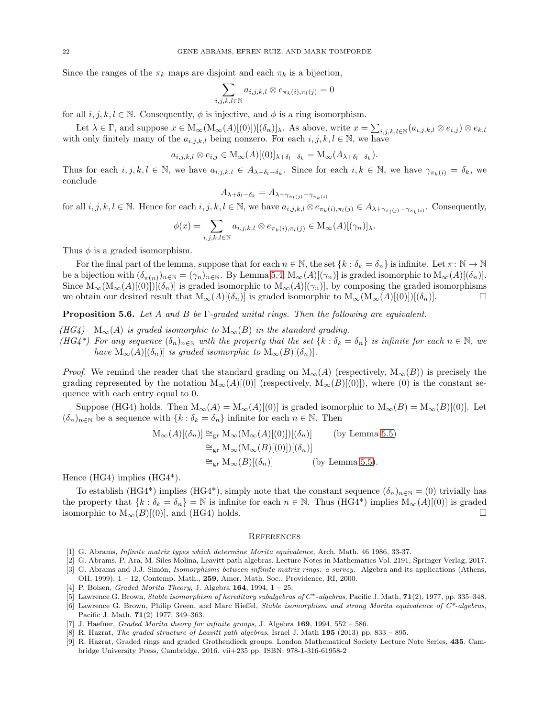Since the ranges of the  $\pi_k$  maps are disjoint and each  $\pi_k$  is a bijection,

$$
\sum_{i,j,k,l\in\mathbb{N}} a_{i,j,k,l} \otimes e_{\pi_k(i),\pi_l(j)} = 0
$$

for all  $i, j, k, l \in \mathbb{N}$ . Consequently,  $\phi$  is injective, and  $\phi$  is a ring isomorphism.

Let  $\lambda \in \Gamma$ , and suppose  $x \in M_\infty(M_\infty(A)[(0)])[(\delta_n)]_\lambda$ . As above, write  $x = \sum_{i,j,k,l \in \mathbb{N}} (a_{i,j,k,l} \otimes e_{i,j}) \otimes e_{k,l}$ with only finitely many of the  $a_{i,j,k,l}$  being nonzero. For each  $i, j, k, l \in \mathbb{N}$ , we have

$$
a_{i,j,k,l}\otimes e_{i,j}\in M_{\infty}(A)[(0)]_{\lambda+\delta_l-\delta_k}=M_{\infty}(A_{\lambda+\delta_l-\delta_k}).
$$

Thus for each  $i, j, k, l \in \mathbb{N}$ , we have  $a_{i,j,k,l} \in A_{\lambda+\delta_l-\delta_k}$ . Since for each  $i, k \in \mathbb{N}$ , we have  $\gamma_{\pi_k(i)} = \delta_k$ , we conclude

$$
A_{\lambda+\delta_l-\delta_k} = A_{\lambda+\gamma_{\pi_l(j)}-\gamma_{\pi_k(i)}}
$$

for all  $i, j, k, l \in \mathbb{N}$ . Hence for each  $i, j, k, l \in \mathbb{N}$ , we have  $a_{i,j,k,l} \otimes e_{\pi_k(i),\pi_l(j)} \in A_{\lambda+\gamma_{\pi_l(j)}-\gamma_{\pi_k(i)}}$ . Consequently,

$$
\phi(x) = \sum_{i,j,k,l \in \mathbb{N}} a_{i,j,k,l} \otimes e_{\pi_k(i),\pi_l(j)} \in M_\infty(A)[(\gamma_n)]_\lambda.
$$

Thus  $\phi$  is a graded isomorphism.

For the final part of the lemma, suppose that for each  $n \in \mathbb{N}$ , the set  $\{k : \delta_k = \delta_n\}$  is infinite. Let  $\pi : \mathbb{N} \to \mathbb{N}$ be a bijection with  $(\delta_{\pi(n)})_{n\in\mathbb{N}} = (\gamma_n)_{n\in\mathbb{N}}$ . By Lemma [5.4,](#page-20-0)  $M_\infty(A)[(\gamma_n)]$  is graded isomorphic to  $M_\infty(A)[(\delta_n)]$ . Since  $M_\infty(M_\infty(A)[(0))][(\delta_n)]$  is graded isomorphic to  $M_\infty(A)[(\gamma_n)]$ , by composing the graded isomorphisms we obtain our desired result that  $M_{\infty}(A)[(\delta_n)]$  is graded isomorphic to  $M_{\infty}(M_{\infty}(A)[(0)])[(\delta_n)]$ .

<span id="page-21-9"></span>Proposition 5.6. *Let* A *and* B *be* Γ*-graded unital rings. Then the following are equivalent.*

- *(HG4)*  $\mathcal{M}_{\infty}(A)$  *is graded isomorphic to*  $\mathcal{M}_{\infty}(B)$  *in the standard grading.*
- *(HG4\*)* For any sequence  $(\delta_n)_{n\in\mathbb{N}}$  with the property that the set  $\{k : \delta_k = \delta_n\}$  is infinite for each  $n \in \mathbb{N}$ , we *have*  $M_{\infty}(A)[(\delta_n)]$  *is graded isomorphic to*  $M_{\infty}(B)[(\delta_n)]$ *.*

*Proof.* We remind the reader that the standard grading on  $M_{\infty}(A)$  (respectively,  $M_{\infty}(B)$ ) is precisely the grading represented by the notation  $M_{\infty}(A)[(0)]$  (respectively,  $M_{\infty}(B)[(0)]$ ), where (0) is the constant sequence with each entry equal to 0.

Suppose (HG4) holds. Then  $M_{\infty}(A) = M_{\infty}(A)[(0)]$  is graded isomorphic to  $M_{\infty}(B) = M_{\infty}(B)[(0)]$ . Let  $(\delta_n)_{n\in\mathbb{N}}$  be a sequence with  $\{k : \delta_k = \delta_n\}$  infinite for each  $n \in \mathbb{N}$ . Then

$$
M_{\infty}(A)[(\delta_n)] \cong_{gr} M_{\infty}(M_{\infty}(A)[(0)])[(\delta_n)] \qquad \text{(by Lemma 5.5)}
$$
  

$$
\cong_{gr} M_{\infty}(M_{\infty}(B)[(0)])[(\delta_n)]
$$
  

$$
\cong_{gr} M_{\infty}(B)[(\delta_n)] \qquad \text{(by Lemma 5.5)}.
$$

Hence (HG4) implies (HG4\*).

To establish (HG4\*) implies (HG4\*), simply note that the constant sequence  $(\delta_n)_{n\in\mathbb{N}} = (0)$  trivially has the property that  $\{k : \delta_k = \delta_n\} = \mathbb{N}$  is infinite for each  $n \in \mathbb{N}$ . Thus  $(HG4^*)$  implies  $M_\infty(A)[(0)]$  is graded isomorphic to  $M_{\infty}(B)[(0)]$ , and (HG4) holds.

#### **REFERENCES**

- <span id="page-21-7"></span><span id="page-21-0"></span>[1] G. Abrams, *Infinite matrix types which determine Morita equivalence*, Arch. Math. 46 1986, 33-37.
- <span id="page-21-6"></span>[2] G. Abrams, P. Ara, M. Siles Molina, Leavitt path algebras. Lecture Notes in Mathematics Vol. 2191, Springer Verlag, 2017. [3] G. Abrams and J.J. Sim´on, *Isomorphisms between infinite matrix rings: a survey.* Algebra and its applications (Athens, OH, 1999), 1 – 12, Contemp. Math., 259, Amer. Math. Soc., Providence, RI, 2000.
- <span id="page-21-5"></span><span id="page-21-3"></span>[4] P. Boisen, *Graded Morita Theory*, J. Algebra 164, 1994, 1 – 25.
- <span id="page-21-2"></span>[5] Lawrence G. Brown, *Stable isomorphism of hereditary subalgebras of* C<sup>∗</sup> *-algebras*, Pacific J. Math, 71(2), 1977, pp. 335–348.
- [6] Lawrence G. Brown, Philip Green, and Marc Rieffel, *Stable isomorphism and strong Morita equivalence of C\*-algebras*, Pacific J. Math. 71(2) 1977, 349–363.
- <span id="page-21-8"></span><span id="page-21-4"></span>[7] J. Haefner, *Graded Morita theory for infinite groups*, J. Algebra 169, 1994, 552 – 586.
- <span id="page-21-1"></span>[8] R. Hazrat, *The graded structure of Leavitt path algebras*, Israel J. Math 195 (2013) pp. 833 – 895.
- [9] R. Hazrat, Graded rings and graded Grothendieck groups. London Mathematical Society Lecture Note Series, 435. Cambridge University Press, Cambridge, 2016. vii+235 pp. ISBN: 978-1-316-61958-2